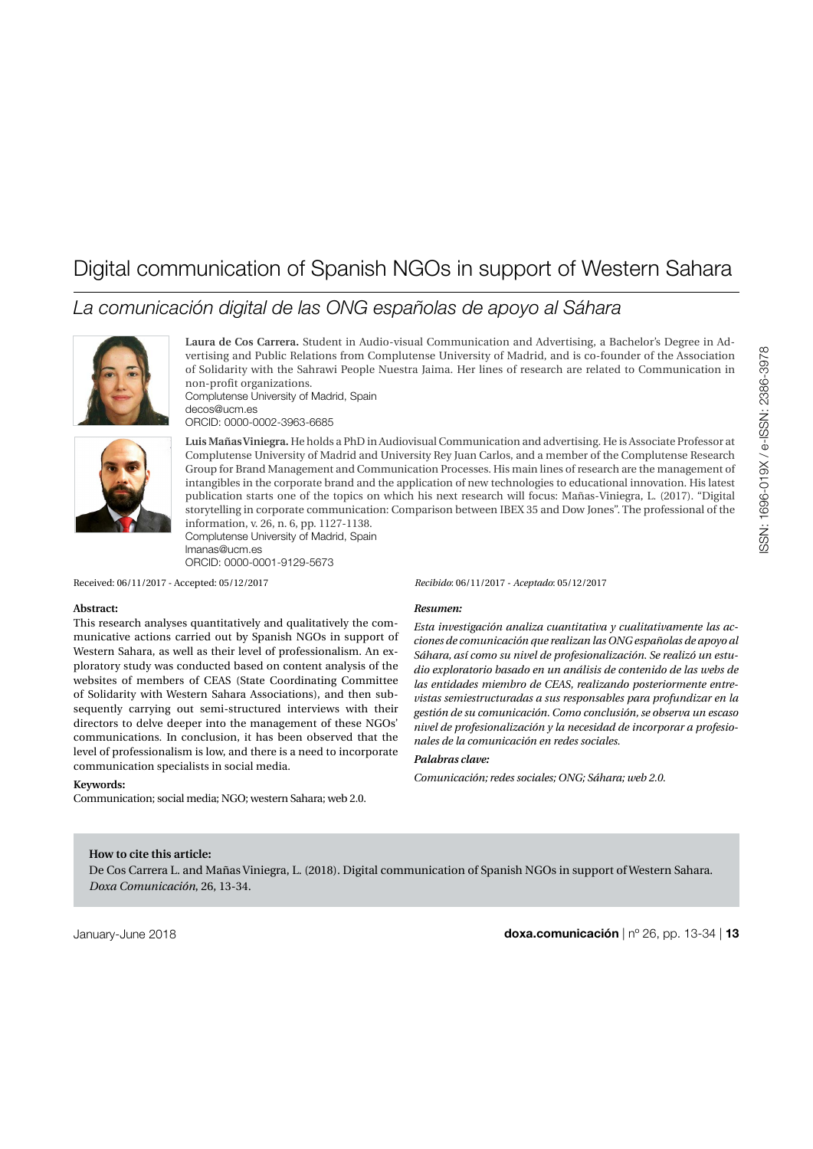# Digital communication of Spanish NGOs in support of Western Sahara

# *La comunicación digital de las ONG españolas de apoyo al Sáhara*



**Laura de Cos Carrera.** Student in Audio-visual Communication and Advertising, a Bachelor's Degree in Advertising and Public Relations from Complutense University of Madrid, and is co-founder of the Association of Solidarity with the Sahrawi People Nuestra Jaima. Her lines of research are related to Communication in non-profit organizations. [Complutense University of Madrid, Spain](https://www.ucm.es/english)

[decos@ucm.es](mailto:decos%40ucm.es%0D?subject=) [ORCID: 0000-0002-3963-6685](https://orcid.org/0000-0002-3963-6685)



**Luis Mañas Viniegra.** He holds a PhD in Audiovisual Communication and advertising. He is Associate Professor at Complutense University of Madrid and University Rey Juan Carlos, and a member of the Complutense Research Group for Brand Management and Communication Processes. His main lines of research are the management of intangibles in the corporate brand and the application of new technologies to educational innovation. His latest publication starts one of the topics on which his next research will focus: Mañas-Viniegra, L. (2017). "Digital storytelling in corporate communication: Comparison between IBEX 35 and Dow Jones". The professional of the information, v. 26, n. 6, pp. 1127-1138. [Complutense University of Madrid, Spain](https://www.ucm.es/english)

[lmanas@ucm.es](mailto:lmanas%40ucm.es%0D?subject=) [ORCID: 0000-0001-9129-5673](https://orcid.org/0000-0001-9129-5673)

Received: 06/11/2017 - Accepted: 05/12/2017

#### **Abstract:**

This research analyses quantitatively and qualitatively the communicative actions carried out by Spanish NGOs in support of Western Sahara, as well as their level of professionalism. An exploratory study was conducted based on content analysis of the websites of members of CEAS (State Coordinating Committee of Solidarity with Western Sahara Associations), and then subsequently carrying out semi-structured interviews with their directors to delve deeper into the management of these NGOs' communications. In conclusion, it has been observed that the level of professionalism is low, and there is a need to incorporate communication specialists in social media.

#### **Keywords:**

Communication; social media; NGO; western Sahara; web 2.0.

*Recibido*: 06/11/2017 - *Aceptado*: 05/12/2017

#### *Resumen:*

*Esta investigación analiza cuantitativa y cualitativamente las acciones de comunicación que realizan las ONG españolas de apoyo al Sáhara, así como su nivel de profesionalización. Se realizó un estudio exploratorio basado en un análisis de contenido de las webs de las entidades miembro de CEAS, realizando posteriormente entrevistas semiestructuradas a sus responsables para profundizar en la gestión de su comunicación. Como conclusión, se observa un escaso nivel de profesionalización y la necesidad de incorporar a profesionales de la comunicación en redes sociales.*

#### *Palabras clave:*

*Comunicación; redes sociales; ONG; Sáhara; web 2.0.*

#### **How to cite this article:**

De Cos Carrera L. and Mañas Viniegra, L. (2018). Digital communication of Spanish NGOs in support of Western Sahara. *Doxa Comunicación*, 26, 13-34.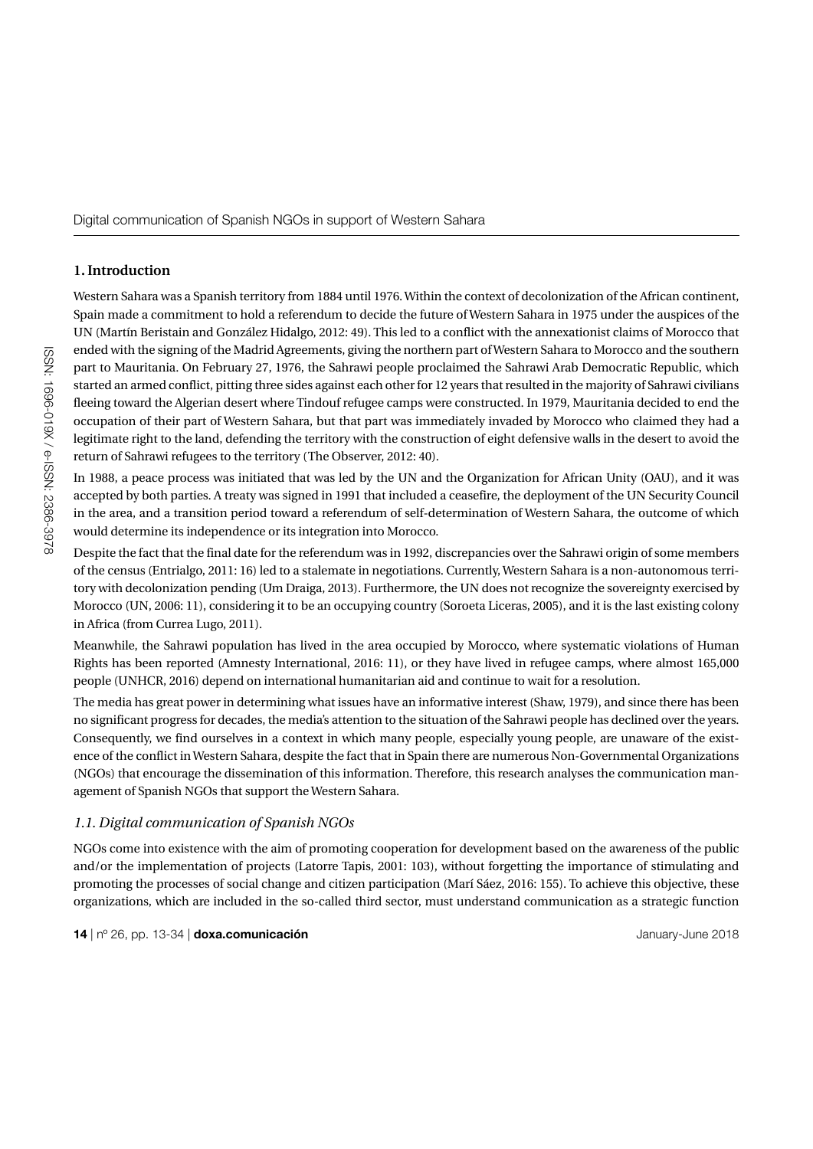# **1. Introduction**

Western Sahara was a Spanish territory from 1884 until 1976. Within the context of decolonization of the African continent, Spain made a commitment to hold a referendum to decide the future of Western Sahara in 1975 under the auspices of the UN (Martín Beristain and González Hidalgo, 2012: 49). This led to a conflict with the annexationist claims of Morocco that ended with the signing of the Madrid Agreements, giving the northern part of Western Sahara to Morocco and the southern part to Mauritania. On February 27, 1976, the Sahrawi people proclaimed the Sahrawi Arab Democratic Republic, which started an armed conflict, pitting three sides against each other for 12 years that resulted in the majority of Sahrawi civilians fleeing toward the Algerian desert where Tindouf refugee camps were constructed. In 1979, Mauritania decided to end the occupation of their part of Western Sahara, but that part was immediately invaded by Morocco who claimed they had a legitimate right to the land, defending the territory with the construction of eight defensive walls in the desert to avoid the return of Sahrawi refugees to the territory (The Observer, 2012: 40).

In 1988, a peace process was initiated that was led by the UN and the Organization for African Unity (OAU), and it was accepted by both parties. A treaty was signed in 1991 that included a ceasefire, the deployment of the UN Security Council in the area, and a transition period toward a referendum of self-determination of Western Sahara, the outcome of which would determine its independence or its integration into Morocco.

Despite the fact that the final date for the referendum was in 1992, discrepancies over the Sahrawi origin of some members of the census (Entrialgo, 2011: 16) led to a stalemate in negotiations. Currently, Western Sahara is a non-autonomous territory with decolonization pending (Um Draiga, 2013). Furthermore, the UN does not recognize the sovereignty exercised by Morocco (UN, 2006: 11), considering it to be an occupying country (Soroeta Liceras, 2005), and it is the last existing colony in Africa (from Currea Lugo, 2011).

Meanwhile, the Sahrawi population has lived in the area occupied by Morocco, where systematic violations of Human Rights has been reported (Amnesty International, 2016: 11), or they have lived in refugee camps, where almost 165,000 people (UNHCR, 2016) depend on international humanitarian aid and continue to wait for a resolution.

The media has great power in determining what issues have an informative interest (Shaw, 1979), and since there has been no significant progress for decades, the media's attention to the situation of the Sahrawi people has declined over the years. Consequently, we find ourselves in a context in which many people, especially young people, are unaware of the existence of the conflict in Western Sahara, despite the fact that in Spain there are numerous Non-Governmental Organizations (NGOs) that encourage the dissemination of this information. Therefore, this research analyses the communication management of Spanish NGOs that support the Western Sahara.

# *1.1. Digital communication of Spanish NGOs*

NGOs come into existence with the aim of promoting cooperation for development based on the awareness of the public and/or the implementation of projects (Latorre Tapis, 2001: 103), without forgetting the importance of stimulating and promoting the processes of social change and citizen participation (Marí Sáez, 2016: 155). To achieve this objective, these organizations, which are included in the so-called third sector, must understand communication as a strategic function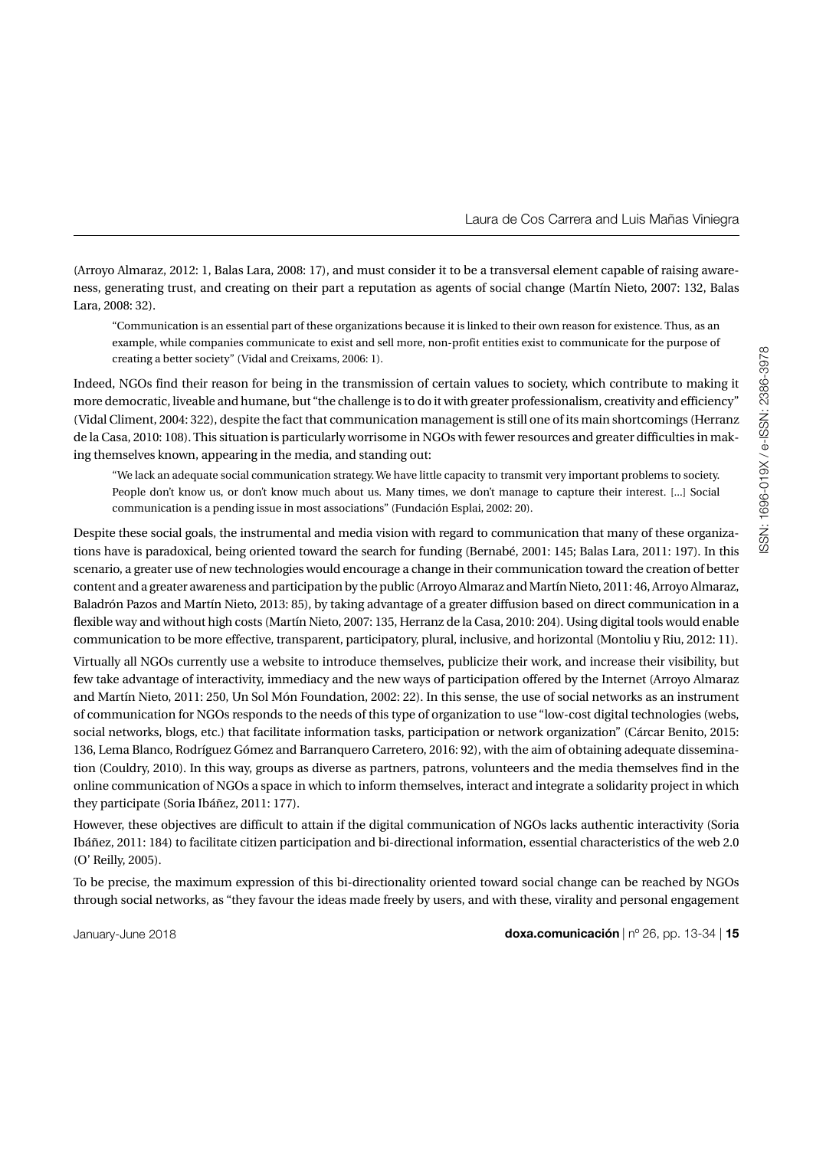(Arroyo Almaraz, 2012: 1, Balas Lara, 2008: 17), and must consider it to be a transversal element capable of raising awareness, generating trust, and creating on their part a reputation as agents of social change (Martín Nieto, 2007: 132, Balas Lara, 2008: 32).

"Communication is an essential part of these organizations because it is linked to their own reason for existence. Thus, as an example, while companies communicate to exist and sell more, non-profit entities exist to communicate for the purpose of creating a better society" (Vidal and Creixams, 2006: 1).

Indeed, NGOs find their reason for being in the transmission of certain values to society, which contribute to making it more democratic, liveable and humane, but "the challenge is to do it with greater professionalism, creativity and efficiency" (Vidal Climent, 2004: 322), despite the fact that communication management is still one of its main shortcomings (Herranz de la Casa, 2010: 108). This situation is particularly worrisome in NGOs with fewer resources and greater difficulties in making themselves known, appearing in the media, and standing out:

"We lack an adequate social communication strategy. We have little capacity to transmit very important problems to society. People don't know us, or don't know much about us. Many times, we don't manage to capture their interest. [...] Social communication is a pending issue in most associations" (Fundación Esplai, 2002: 20).

Despite these social goals, the instrumental and media vision with regard to communication that many of these organizations have is paradoxical, being oriented toward the search for funding (Bernabé, 2001: 145; Balas Lara, 2011: 197). In this scenario, a greater use of new technologies would encourage a change in their communication toward the creation of better content and a greater awareness and participation by the public (Arroyo Almaraz and Martín Nieto, 2011: 46, Arroyo Almaraz, Baladrón Pazos and Martín Nieto, 2013: 85), by taking advantage of a greater diffusion based on direct communication in a flexible way and without high costs (Martín Nieto, 2007: 135, Herranz de la Casa, 2010: 204). Using digital tools would enable communication to be more effective, transparent, participatory, plural, inclusive, and horizontal (Montoliu y Riu, 2012: 11).

Virtually all NGOs currently use a website to introduce themselves, publicize their work, and increase their visibility, but few take advantage of interactivity, immediacy and the new ways of participation offered by the Internet (Arroyo Almaraz and Martín Nieto, 2011: 250, Un Sol Món Foundation, 2002: 22). In this sense, the use of social networks as an instrument of communication for NGOs responds to the needs of this type of organization to use "low-cost digital technologies (webs, social networks, blogs, etc.) that facilitate information tasks, participation or network organization" (Cárcar Benito, 2015: 136, Lema Blanco, Rodríguez Gómez and Barranquero Carretero, 2016: 92), with the aim of obtaining adequate dissemination (Couldry, 2010). In this way, groups as diverse as partners, patrons, volunteers and the media themselves find in the online communication of NGOs a space in which to inform themselves, interact and integrate a solidarity project in which they participate (Soria Ibáñez, 2011: 177).

However, these objectives are difficult to attain if the digital communication of NGOs lacks authentic interactivity (Soria Ibáñez, 2011: 184) to facilitate citizen participation and bi-directional information, essential characteristics of the web 2.0 (O' Reilly, 2005).

To be precise, the maximum expression of this bi-directionality oriented toward social change can be reached by NGOs through social networks, as "they favour the ideas made freely by users, and with these, virality and personal engagement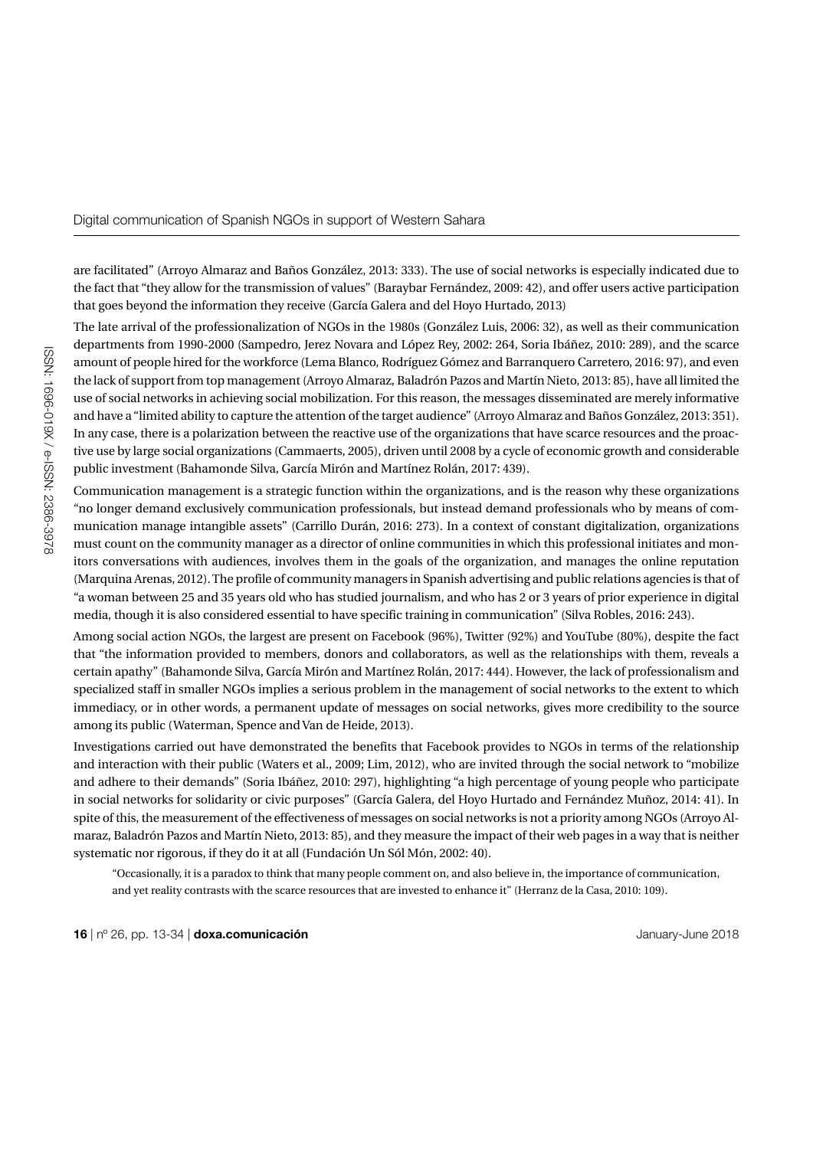are facilitated" (Arroyo Almaraz and Baños González, 2013: 333). The use of social networks is especially indicated due to the fact that "they allow for the transmission of values" (Baraybar Fernández, 2009: 42), and offer users active participation that goes beyond the information they receive (García Galera and del Hoyo Hurtado, 2013)

The late arrival of the professionalization of NGOs in the 1980s (González Luis, 2006: 32), as well as their communication departments from 1990-2000 (Sampedro, Jerez Novara and López Rey, 2002: 264, Soria Ibáñez, 2010: 289), and the scarce amount of people hired for the workforce (Lema Blanco, Rodríguez Gómez and Barranquero Carretero, 2016: 97), and even the lack of support from top management (Arroyo Almaraz, Baladrón Pazos and Martín Nieto, 2013: 85), have all limited the use of social networks in achieving social mobilization. For this reason, the messages disseminated are merely informative and have a "limited ability to capture the attention of the target audience" (Arroyo Almaraz and Baños González, 2013: 351). In any case, there is a polarization between the reactive use of the organizations that have scarce resources and the proactive use by large social organizations (Cammaerts, 2005), driven until 2008 by a cycle of economic growth and considerable public investment (Bahamonde Silva, García Mirón and Martínez Rolán, 2017: 439).

Communication management is a strategic function within the organizations, and is the reason why these organizations "no longer demand exclusively communication professionals, but instead demand professionals who [by means of](https://www.linguee.es/ingles-espanol/traduccion/by+means+of.html) communication manage intangible assets" (Carrillo Durán, 2016: 273). In a context of constant digitalization, organizations must count on the community manager as a director of online communities in which this professional initiates and monitors conversations with audiences, involves them in the goals of the organization, and manages the online reputation (Marquina Arenas, 2012). The profile of community managers in Spanish advertising and public relations agencies is that of "a woman between 25 and 35 years old who has studied journalism, and who has 2 or 3 years of prior experience in digital media, though it is also considered essential to have specific training in communication" (Silva Robles, 2016: 243).

Among social action NGOs, the largest are present on Facebook (96%), Twitter (92%) and YouTube (80%), despite the fact that "the information provided to members, donors and collaborators, as well as the relationships with them, reveals a certain apathy" (Bahamonde Silva, García Mirón and Martínez Rolán, 2017: 444). However, the lack of professionalism and specialized staff in smaller NGOs implies a serious problem in the management of social networks to the extent to which immediacy, or in other words, a permanent update of messages on social networks, gives more credibility to the source among its public (Waterman, Spence and Van de Heide, 2013).

Investigations carried out have demonstrated the benefits that Facebook provides to NGOs in terms of the relationship and interaction with their public (Waters et al., 2009; Lim, 2012), who are invited through the social network to "mobilize and adhere to their demands" (Soria Ibáñez, 2010: 297), highlighting "a high percentage of young people who participate in social networks for solidarity or civic purposes" (García Galera, del Hoyo Hurtado and Fernández Muñoz, 2014: 41). In spite of this, the measurement of the effectiveness of messages on social networks is not a priority among NGOs (Arroyo Almaraz, Baladrón Pazos and Martín Nieto, 2013: 85), and they measure the impact of their web pages in a way that is neither systematic nor rigorous, if they do it at all (Fundación Un Sól Món, 2002: 40).

"Occasionally, it is a paradox to think that many people comment on, and also believe in, the importance of communication, and yet reality contrasts with the scarce resources that are invested to enhance it" (Herranz de la Casa, 2010: 109).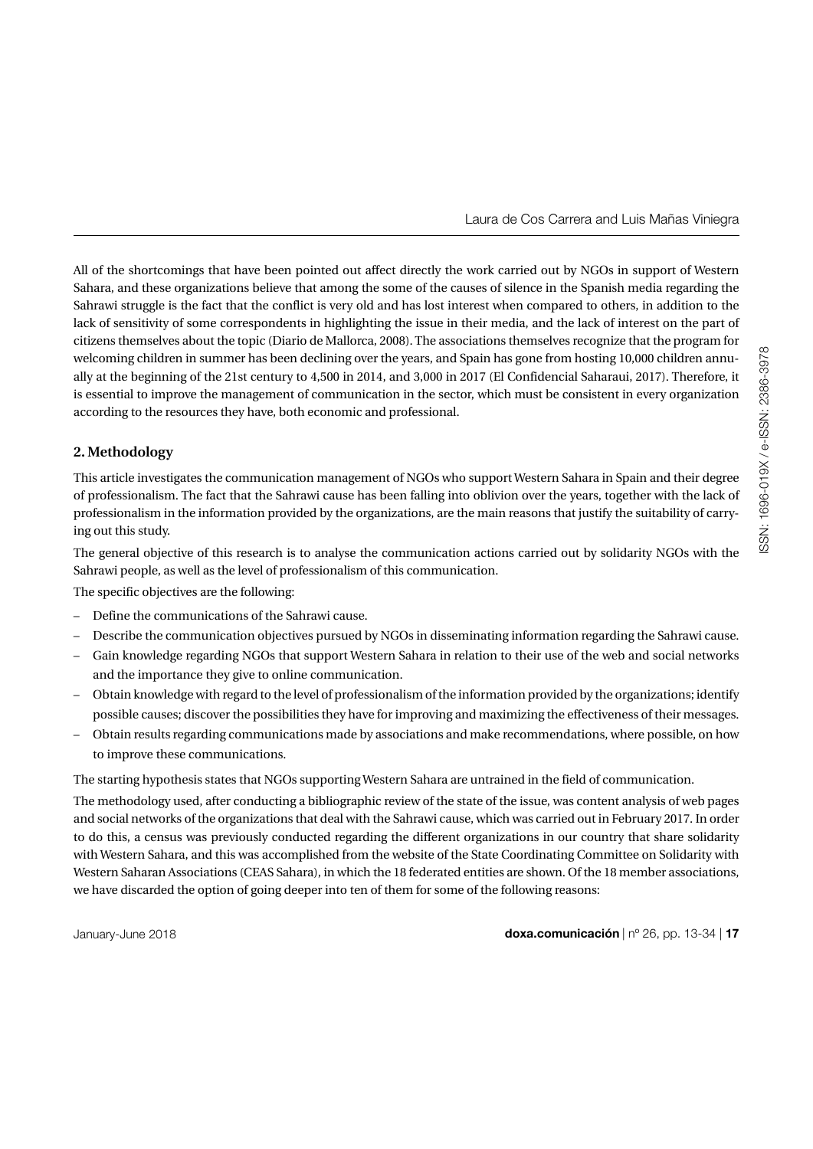All of the shortcomings that have been pointed out affect directly the work carried out by NGOs in support of Western Sahara, and these organizations believe that among the some of the causes of silence in the Spanish media regarding the Sahrawi struggle is the fact that the conflict is very old and has lost interest when compared to others, in addition to the lack of sensitivity of some correspondents in highlighting the issue in their media, and the lack of interest on the part of citizens themselves about the topic (Diario de Mallorca, 2008). The associations themselves recognize that the program for welcoming children in summer has been declining over the years, and Spain has gone from hosting 10,000 children annually at the beginning of the 21st century to 4,500 in 2014, and 3,000 in 2017 (El Confidencial Saharaui, 2017). Therefore, it is essential to improve the management of communication in the sector, which must be consistent in every organization according to the resources they have, both economic and professional.

# **2. Methodology**

This article investigates the communication management of NGOs who support Western Sahara in Spain and their degree of professionalism. The fact that the Sahrawi cause has been falling into oblivion over the years, together with the lack of professionalism in the information provided by the organizations, are the main reasons that justify the suitability of carrying out this study.

The general objective of this research is to analyse the communication actions carried out by solidarity NGOs with the Sahrawi people, as well as the level of professionalism of this communication.

The specific objectives are the following:

- Define the communications of the Sahrawi cause.
- Describe the communication objectives pursued by NGOs in disseminating information regarding the Sahrawi cause.
- Gain knowledge regarding NGOs that support Western Sahara in relation to their use of the web and social networks and the importance they give to online communication.
- Obtain knowledge with regard to the level of professionalism of the information provided by the organizations; identify possible causes; discover the possibilities they have for improving and maximizing the effectiveness of their messages.
- Obtain results regarding communications made by associations and make recommendations, where possible, on how to improve these communications.

The starting hypothesis states that NGOs supporting Western Sahara are untrained in the field of communication.

The methodology used, after conducting a bibliographic review of the state of the issue, was content analysis of web pages and social networks of the organizations that deal with the Sahrawi cause, which was carried out in February 2017. In order to do this, a census was previously conducted regarding the different organizations in our country that share solidarity with Western Sahara, and this was accomplished from the website of the State Coordinating Committee on Solidarity with Western Saharan Associations (CEAS Sahara), in which the 18 federated entities are shown. Of the 18 member associations, we have discarded the option of going deeper into ten of them for some of the following reasons: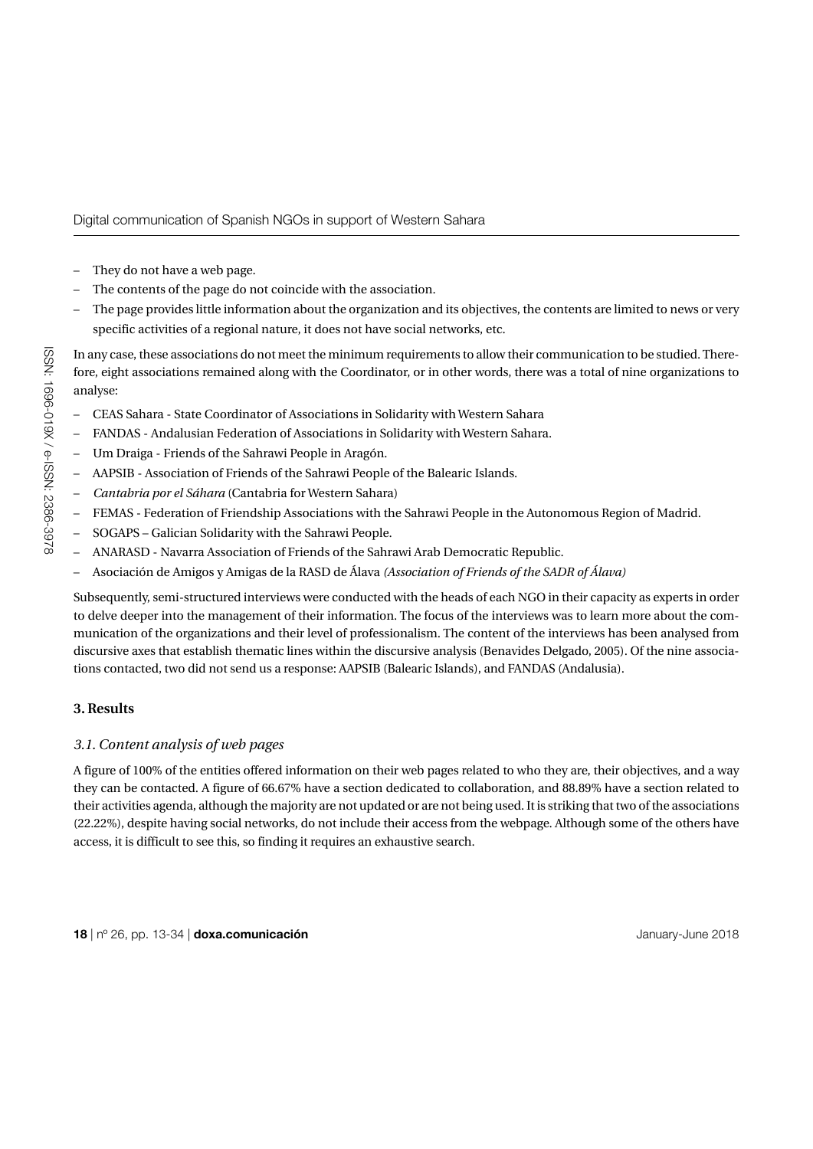- They do not have a web page.
- The contents of the page do not coincide with the association.
- The page provides little information about the organization and its objectives, the contents are limited to news or very specific activities of a regional nature, it does not have social networks, etc.

In any case, these associations do not meet the minimum requirements to allow their communication to be studied. Therefore, eight associations remained along with the Coordinator, or in other words, there was a total of nine organizations to analyse:

- CEAS Sahara State Coordinator of Associations in Solidarity with Western Sahara
- FANDAS Andalusian Federation of Associations in Solidarity with Western Sahara.
- Um Draiga Friends of the Sahrawi People in Aragón.
- AAPSIB Association of Friends of the Sahrawi People of the Balearic Islands.
- *Cantabria por el Sáhara* (Cantabria for Western Sahara)
- FEMAS Federation of Friendship Associations with the Sahrawi People in the Autonomous Region of Madrid.
- SOGAPS Galician Solidarity with the Sahrawi People.
- ANARASD Navarra Association of Friends of the Sahrawi Arab Democratic Republic.
- – Asociación de Amigos y Amigas de la RASD de Álava *(Association of Friends of the SADR of Álava)*

Subsequently, semi-structured interviews were conducted with the heads of each NGO in their capacity as experts in order to delve deeper into the management of their information. The focus of the interviews was to learn more about the communication of the organizations and their level of professionalism. The content of the interviews has been analysed from discursive axes that establish thematic lines within the discursive analysis (Benavides Delgado, 2005). Of the nine associations contacted, two did not send us a response: AAPSIB (Balearic Islands), and FANDAS (Andalusia).

# **3. Results**

# *3.1. Content analysis of web pages*

A figure of 100% of the entities offered information on their web pages related to who they are, their objectives, and a way they can be contacted. A figure of 66.67% have a section dedicated to collaboration, and 88.89% have a section related to their activities agenda, although the majority are not updated or are not being used. It is striking that two of the associations (22.22%), despite having social networks, do not include their access from the webpage. Although some of the others have access, it is difficult to see this, so finding it requires an exhaustive search.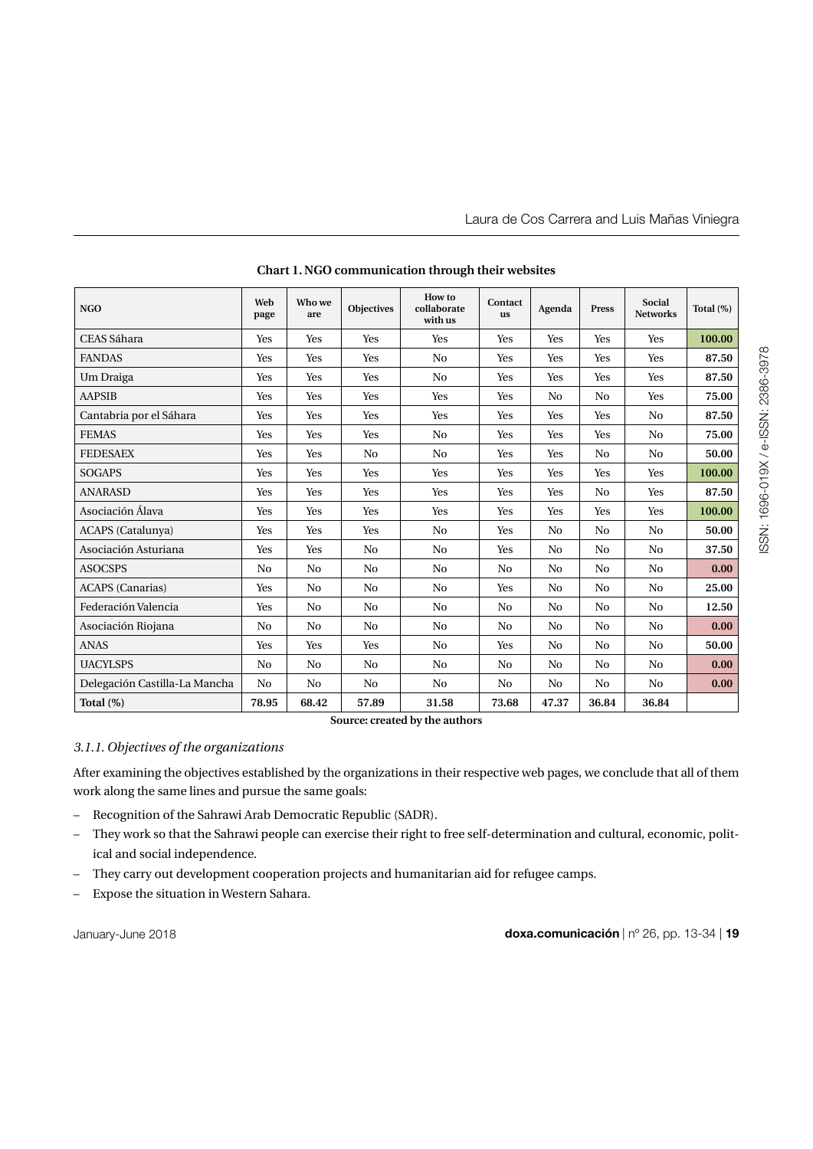| <b>NGO</b>                    | Web<br>page    | Who we<br>are  | <b>Objectives</b> | How to<br>collaborate<br>with us | Contact<br><b>us</b> | Agenda         | Press          | Social<br><b>Networks</b> | Total $(\%)$ |
|-------------------------------|----------------|----------------|-------------------|----------------------------------|----------------------|----------------|----------------|---------------------------|--------------|
| CEAS Sáhara                   | Yes            | Yes            | Yes               | Yes                              | Yes                  | Yes            | Yes            | Yes                       | 100.00       |
| <b>FANDAS</b>                 | Yes            | Yes            | Yes               | N <sub>0</sub>                   | Yes                  | Yes            | Yes            | Yes                       | 87.50        |
| Um Draiga                     | Yes            | Yes            | Yes               | No                               | Yes                  | Yes            | Yes            | Yes                       | 87.50        |
| <b>AAPSIB</b>                 | Yes            | Yes            | Yes               | Yes                              | Yes                  | N <sub>0</sub> | N <sub>0</sub> | Yes                       | 75.00        |
| Cantabria por el Sáhara       | Yes            | Yes            | Yes               | Yes                              | Yes                  | Yes            | Yes            | No                        | 87.50        |
| <b>FEMAS</b>                  | Yes            | Yes            | Yes               | No                               | Yes                  | Yes            | Yes            | No                        | 75.00        |
| <b>FEDESAEX</b>               | Yes            | Yes            | N <sub>0</sub>    | N <sub>0</sub>                   | Yes                  | Yes            | No             | N <sub>0</sub>            | 50.00        |
| <b>SOGAPS</b>                 | Yes            | Yes            | Yes               | Yes                              | Yes                  | Yes            | Yes            | Yes                       | 100.00       |
| <b>ANARASD</b>                | Yes            | Yes            | Yes               | Yes                              | Yes                  | Yes            | No             | Yes                       | 87.50        |
| Asociación Álava              | Yes            | Yes            | Yes               | Yes                              | Yes                  | Yes            | Yes            | Yes                       | 100.00       |
| <b>ACAPS</b> (Catalunya)      | Yes            | Yes            | Yes               | N <sub>0</sub>                   | Yes                  | N <sub>0</sub> | No             | N <sub>0</sub>            | 50.00        |
| Asociación Asturiana          | Yes            | Yes            | No                | No                               | Yes                  | No             | No             | No                        | 37.50        |
| <b>ASOCSPS</b>                | N <sub>0</sub> | N <sub>0</sub> | No                | No                               | N <sub>0</sub>       | N <sub>0</sub> | N <sub>0</sub> | N <sub>0</sub>            | 0.00         |
| <b>ACAPS</b> (Canarias)       | Yes            | N <sub>0</sub> | No                | No                               | Yes                  | N <sub>0</sub> | No             | N <sub>0</sub>            | 25.00        |
| Federación Valencia           | Yes            | No             | No                | No                               | No                   | N <sub>0</sub> | N <sub>0</sub> | No                        | 12.50        |
| Asociación Riojana            | N <sub>0</sub> | N <sub>0</sub> | N <sub>0</sub>    | N <sub>0</sub>                   | N <sub>0</sub>       | N <sub>0</sub> | No             | No                        | 0.00         |
| <b>ANAS</b>                   | Yes            | Yes            | Yes               | N <sub>0</sub>                   | Yes                  | N <sub>0</sub> | No             | N <sub>0</sub>            | 50.00        |
| <b>UACYLSPS</b>               | N <sub>0</sub> | N <sub>0</sub> | N <sub>0</sub>    | N <sub>0</sub>                   | N <sub>0</sub>       | N <sub>0</sub> | No             | N <sub>0</sub>            | 0.00         |
| Delegación Castilla-La Mancha | No             | No             | No                | No                               | No                   | No             | No             | No                        | 0.00         |
| Total $(\%)$                  | 78.95          | 68.42          | 57.89             | 31.58                            | 73.68                | 47.37          | 36.84          | 36.84                     |              |

**Chart 1. NGO communication through their websites**

**Source: created by the authors**

# *3.1.1. Objectives of the organizations*

After examining the objectives established by the organizations in their respective web pages, we conclude that all of them work along the same lines and pursue the same goals:

- Recognition of the Sahrawi Arab Democratic Republic (SADR).
- They work so that the Sahrawi people can exercise their right to free self-determination and cultural, economic, political and social independence.
- They carry out development cooperation projects and humanitarian aid for refugee camps.
- Expose the situation in Western Sahara.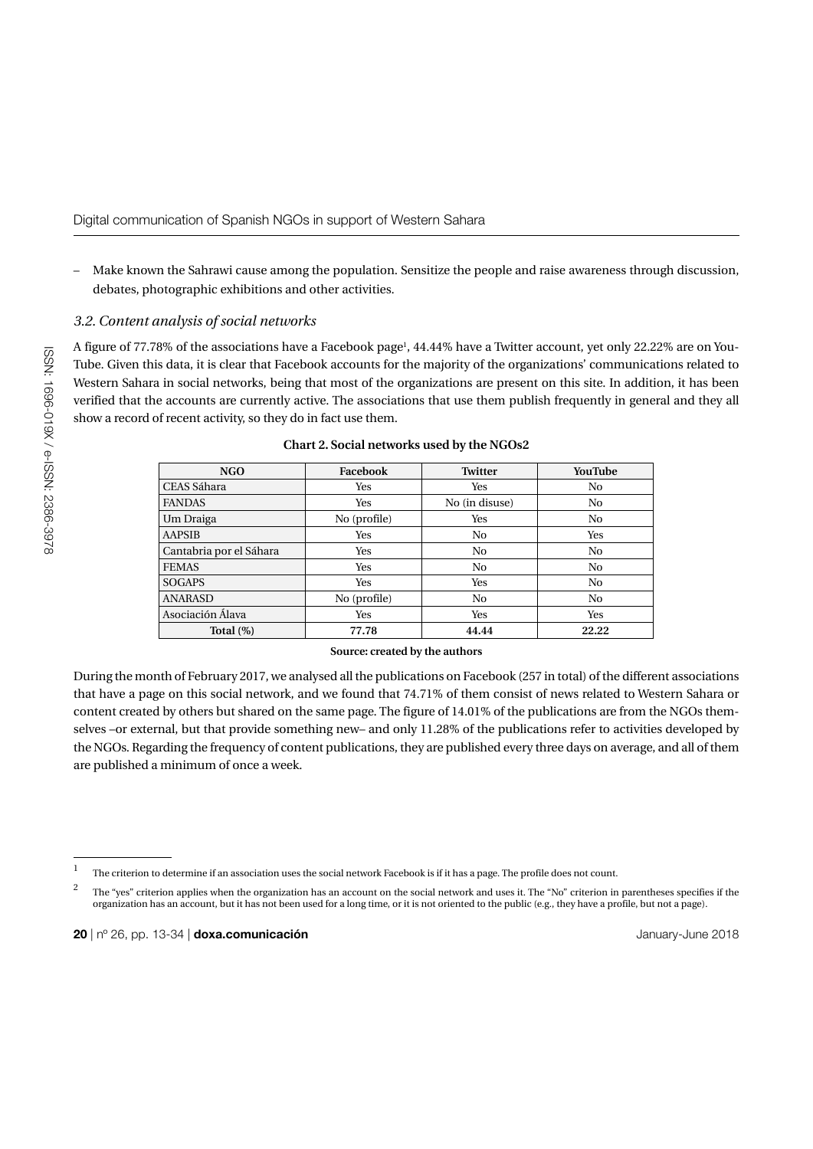– Make known the Sahrawi cause among the population. Sensitize the people and raise awareness through discussion, debates, photographic exhibitions and other activities.

# *3.2. Content analysis of social networks*

A figure of 77.78% of the associations have a Facebook page<sup>1</sup>, 44.44% have a Twitter account, yet only 22.22% are on You-Tube. Given this data, it is clear that Facebook accounts for the majority of the organizations' communications related to Western Sahara in social networks, being that most of the organizations are present on this site. In addition, it has been verified that the accounts are currently active. The associations that use them publish frequently in general and they all show a record of recent activity, so they do in fact use them.

| NGO                     | Facebook     | <b>Twitter</b> | <b>YouTube</b> |
|-------------------------|--------------|----------------|----------------|
| CEAS Sáhara             | Yes          | Yes            | No             |
| <b>FANDAS</b>           | Yes          | No (in disuse) | No             |
| Um Draiga               | No (profile) | Yes            | N <sub>0</sub> |
| <b>AAPSIB</b>           | Yes          | N <sub>0</sub> | Yes            |
| Cantabria por el Sáhara | Yes          | N <sub>0</sub> | N <sub>0</sub> |
| <b>FEMAS</b>            | Yes          | N <sub>0</sub> | No             |
| <b>SOGAPS</b>           | Yes          | Yes            | N <sub>0</sub> |
| <b>ANARASD</b>          | No (profile) | N <sub>0</sub> | N <sub>0</sub> |
| Asociación Álava        | Yes          | Yes            | Yes            |
| Total $(\%)$            | 77.78        | 44.44          | 22.22          |

**Chart 2. Social networks used by the NGOs2**

### **Source: created by the authors**

During the month of February 2017, we analysed all the publications on Facebook (257 in total) of the different associations that have a page on this social network, and we found that 74.71% of them consist of news related to Western Sahara or content created by others but shared on the same page. The figure of 14.01% of the publications are from the NGOs themselves –or external, but that provide something new– and only 11.28% of the publications refer to activities developed by the NGOs. Regarding the frequency of content publications, they are published every three days on average, and all of them are published a minimum of once a week.

 $1$  The criterion to determine if an association uses the social network Facebook is if it has a page. The profile does not count.

<sup>&</sup>lt;sup>2</sup> The "yes" criterion applies when the organization has an account on the social network and uses it. The "No" criterion in parentheses specifies if the organization has an account, but it has not been used for a long time, or it is not oriented to the public (e.g., they have a profile, but not a page).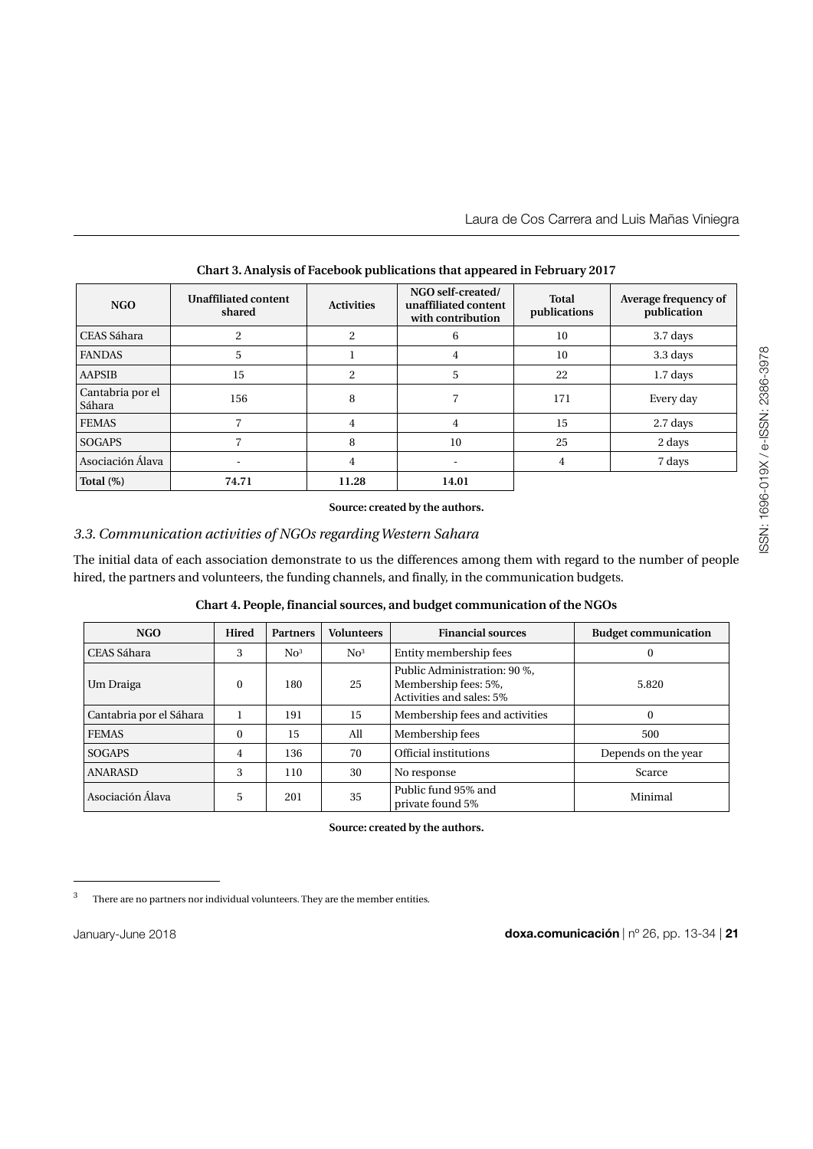| NGO                        | <b>Unaffiliated content</b><br>shared | <b>Activities</b> | NGO self-created/<br>unaffiliated content<br>with contribution | Total<br>publications | Average frequency of<br>publication |
|----------------------------|---------------------------------------|-------------------|----------------------------------------------------------------|-----------------------|-------------------------------------|
| CEAS Sáhara                | $\overline{c}$                        | 2                 | 6                                                              | 10                    | 3.7 days                            |
| <b>FANDAS</b>              | 5                                     |                   | 4                                                              | 10                    | 3.3 days                            |
| <b>AAPSIB</b>              | 15                                    | $\overline{2}$    | 5                                                              | 22                    | 1.7 days                            |
| Cantabria por el<br>Sáhara | 156                                   | 8                 |                                                                | 171                   | Every day                           |
| <b>FEMAS</b>               |                                       | 4                 | 4                                                              | 15                    | 2.7 days                            |
| <b>SOGAPS</b>              | 7                                     | 8                 | 10                                                             | 25                    | 2 days                              |
| Asociación Álava           | ٠                                     | $\overline{4}$    |                                                                | 4                     | 7 days                              |
| Total $(\%)$               | 74.71                                 | 11.28             | 14.01                                                          |                       |                                     |

# **Chart 3. Analysis of Facebook publications that appeared in February 2017**

**Source: created by the authors.**

# *3.3. Communication activities of NGOs regarding Western Sahara*

The initial data of each association demonstrate to us the differences among them with regard to the number of people hired, the partners and volunteers, the funding channels, and finally, in the communication budgets.

|  |  | Chart 4. People, financial sources, and budget communication of the NGOs |  |
|--|--|--------------------------------------------------------------------------|--|
|  |  |                                                                          |  |

| NGO                     | Hired    | <b>Partners</b> | <b>Volunteers</b> | <b>Financial sources</b>                                                         | <b>Budget communication</b> |
|-------------------------|----------|-----------------|-------------------|----------------------------------------------------------------------------------|-----------------------------|
| CEAS Sáhara             | 3        | $\rm No^3$      | No <sup>3</sup>   | Entity membership fees                                                           | 0                           |
| Um Draiga               | $\Omega$ | 180             | 25                | Public Administration: 90 %,<br>Membership fees: 5%,<br>Activities and sales: 5% | 5.820                       |
| Cantabria por el Sáhara |          | 191             | 15                | Membership fees and activities                                                   | 0                           |
| <b>FEMAS</b>            | $\theta$ | 15              | All               | Membership fees                                                                  | 500                         |
| <b>SOGAPS</b>           | 4        | 136             | 70                | Official institutions                                                            | Depends on the year         |
| <b>ANARASD</b>          | 3        | 110             | 30                | No response                                                                      | Scarce                      |
| Asociación Álava        | 5        | 201             | 35                | Public fund 95% and<br>private found 5%                                          | Minimal                     |

**Source: created by the authors.**

<sup>&</sup>lt;sup>3</sup> There are no partners nor individual volunteers. They are the member entities.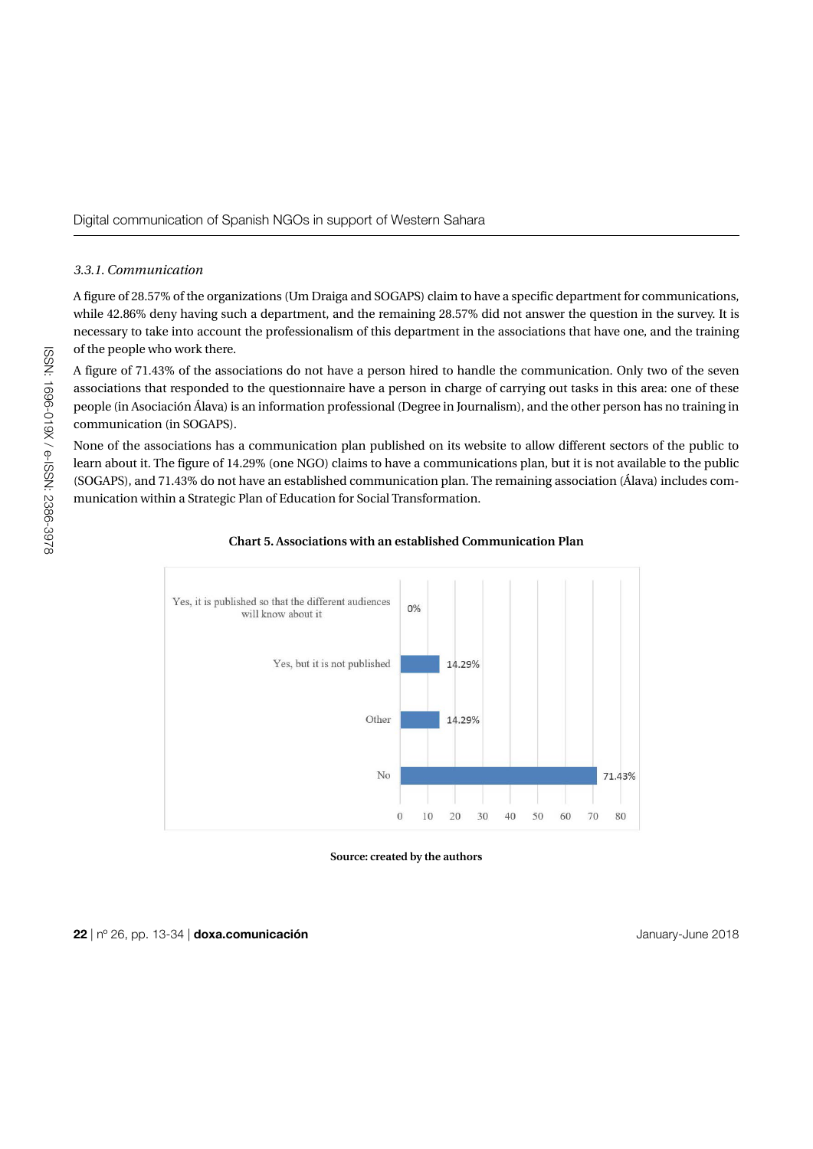#### *3.3.1. Communication*

A figure of 28.57% of the organizations (Um Draiga and SOGAPS) claim to have a specific department for communications, while 42.86% deny having such a department, and the remaining 28.57% did not answer the question in the survey. It is necessary to take into account the professionalism of this department in the associations that have one, and the training of the people who work there.

A figure of 71.43% of the associations do not have a person hired to handle the communication. Only two of the seven associations that responded to the questionnaire have a person in charge of carrying out tasks in this area: one of these people (in Asociación Álava) is an information professional (Degree in Journalism), and the other person has no training in communication (in SOGAPS).

None of the associations has a communication plan published on its website to allow different sectors of the public to learn about it. The figure of 14.29% (one NGO) claims to have a communications plan, but it is not available to the public (SOGAPS), and 71.43% do not have an established communication plan. The remaining association (Álava) includes communication within a Strategic Plan of Education for Social Transformation.



#### **Chart 5. Associations with an established Communication Plan**

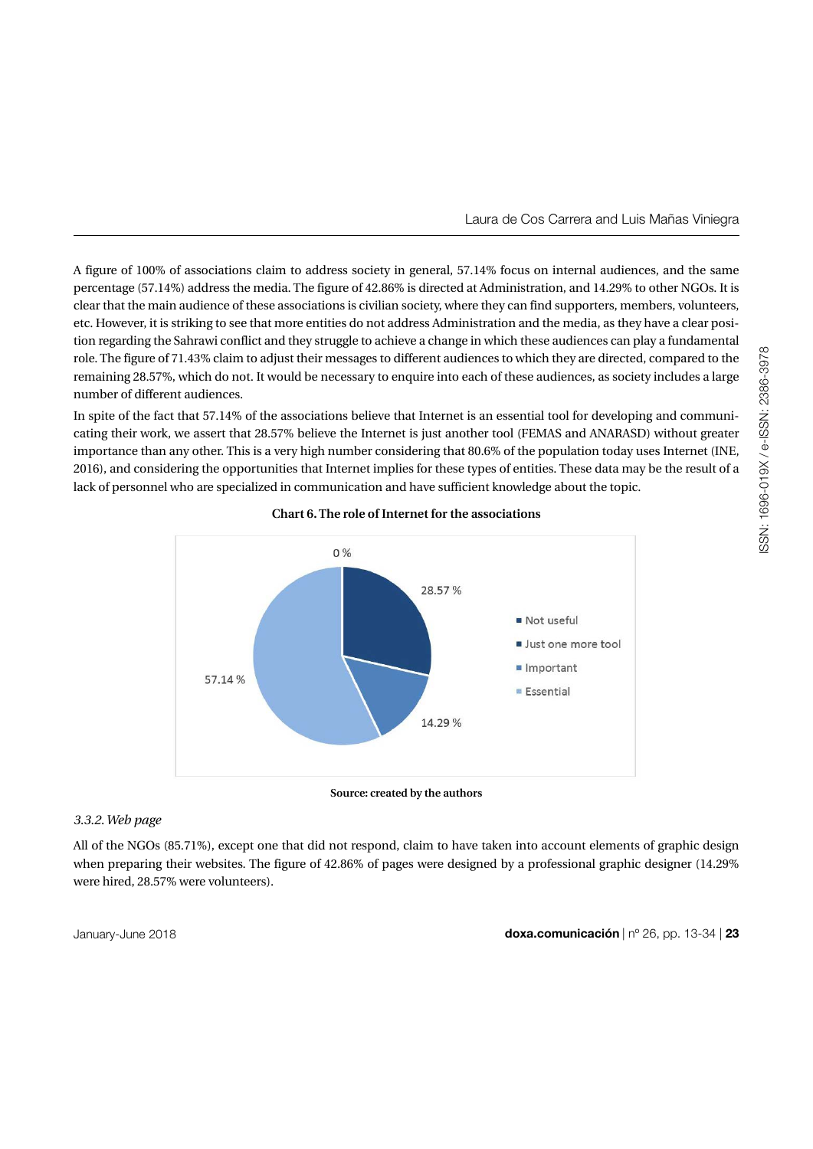Laura de Cos Carrera and Luis Mañas Viniegra

A figure of 100% of associations claim to address society in general, 57.14% focus on internal audiences, and the same percentage (57.14%) address the media. The figure of 42.86% is directed at Administration, and 14.29% to other NGOs. It is clear that the main audience of these associations is civilian society, where they can find supporters, members, volunteers, etc. However, it is striking to see that more entities do not address Administration and the media, as they have a clear position regarding the Sahrawi conflict and they struggle to achieve a change in which these audiences can play a fundamental role. The figure of 71.43% claim to adjust their messages to different audiences to which they are directed, compared to the remaining 28.57%, which do not. It would be necessary to enquire into each of these audiences, as society includes a large number of different audiences.

In spite of the fact that 57.14% of the associations believe that Internet is an essential tool for developing and communicating their work, we assert that 28.57% believe the Internet is just another tool (FEMAS and ANARASD) without greater importance than any other. This is a very high number considering that 80.6% of the population today uses Internet (INE, 2016), and considering the opportunities that Internet implies for these types of entities. These data may be the result of a lack of personnel who are specialized in communication and have sufficient knowledge about the topic.



**Chart 6. The role of Internet for the associations**

**Source: created by the authors**

# *3.3.2. Web page*

All of the NGOs (85.71%), except one that did not respond, claim to have taken into account elements of graphic design when preparing their websites. The figure of 42.86% of pages were designed by a professional graphic designer (14.29%) were hired, 28.57% were volunteers).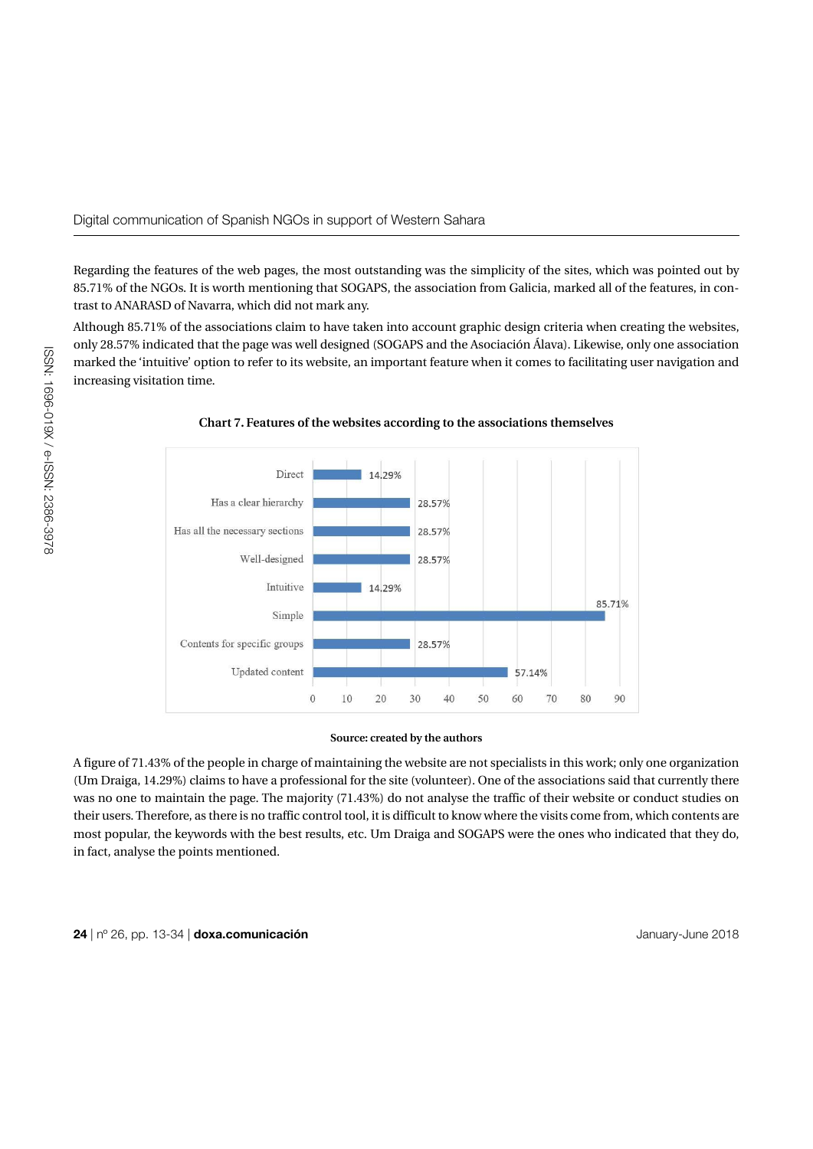Regarding the features of the web pages, the most outstanding was the simplicity of the sites, which was pointed out by 85.71% of the NGOs. It is worth mentioning that SOGAPS, the association from Galicia, marked all of the features, in contrast to ANARASD of Navarra, which did not mark any.

Although 85.71% of the associations claim to have taken into account graphic design criteria when creating the websites, only 28.57% indicated that the page was well designed (SOGAPS and the Asociación Álava). Likewise, only one association marked the 'intuitive' option to refer to its website, an important feature when it comes to facilitating user navigation and increasing visitation time.



**Chart 7. Features of the websites according to the associations themselves**

### **Source: created by the authors**

A figure of 71.43% of the people in charge of maintaining the website are not specialists in this work; only one organization (Um Draiga, 14.29%) claims to have a professional for the site (volunteer). One of the associations said that currently there was no one to maintain the page. The majority (71.43%) do not analyse the traffic of their website or conduct studies on their users. Therefore, as there is no traffic control tool, it is difficult to know where the visits come from, which contents are most popular, the keywords with the best results, etc. Um Draiga and SOGAPS were the ones who indicated that they do, in fact, analyse the points mentioned.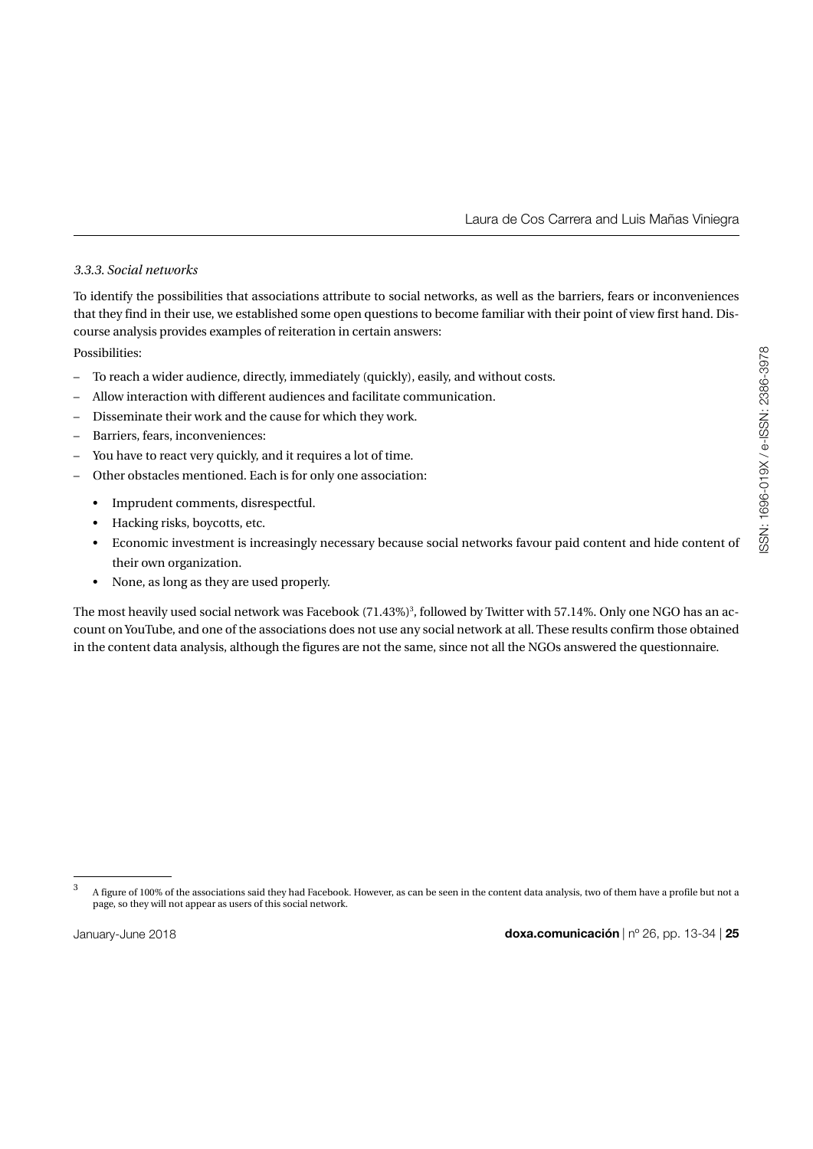Laura de Cos Carrera and Luis Mañas Viniegra

# *3.3.3. Social networks*

To identify the possibilities that associations attribute to social networks, as well as the barriers, fears or inconveniences that they find in their use, we established some open questions to become familiar with their point of view first hand. Discourse analysis provides examples of reiteration in certain answers:

Possibilities:

- To reach a wider audience, directly, immediately (quickly), easily, and without costs.
- Allow interaction with different audiences and facilitate communication.
- Disseminate their work and the cause for which they work.
- Barriers, fears, inconveniences:
- You have to react very quickly, and it requires a lot of time.
- Other obstacles mentioned. Each is for only one association:
	- Imprudent comments, disrespectful.
	- Hacking risks, boycotts, etc.
	- Economic investment is increasingly necessary because social networks favour paid content and hide content of their own organization.
	- None, as long as they are used properly.

The most heavily used social network was Facebook (71.43%) $^3$ , followed by Twitter with 57.14%. Only one NGO has an account on YouTube, and one of the associations does not use any social network at all. These results confirm those obtained in the content data analysis, although the figures are not the same, since not all the NGOs answered the questionnaire.

<sup>&</sup>lt;sup>3</sup> A figure of 100% of the associations said they had Facebook. However, as can be seen in the content data analysis, two of them have a profile but not a page, so they will not appear as users of this social network.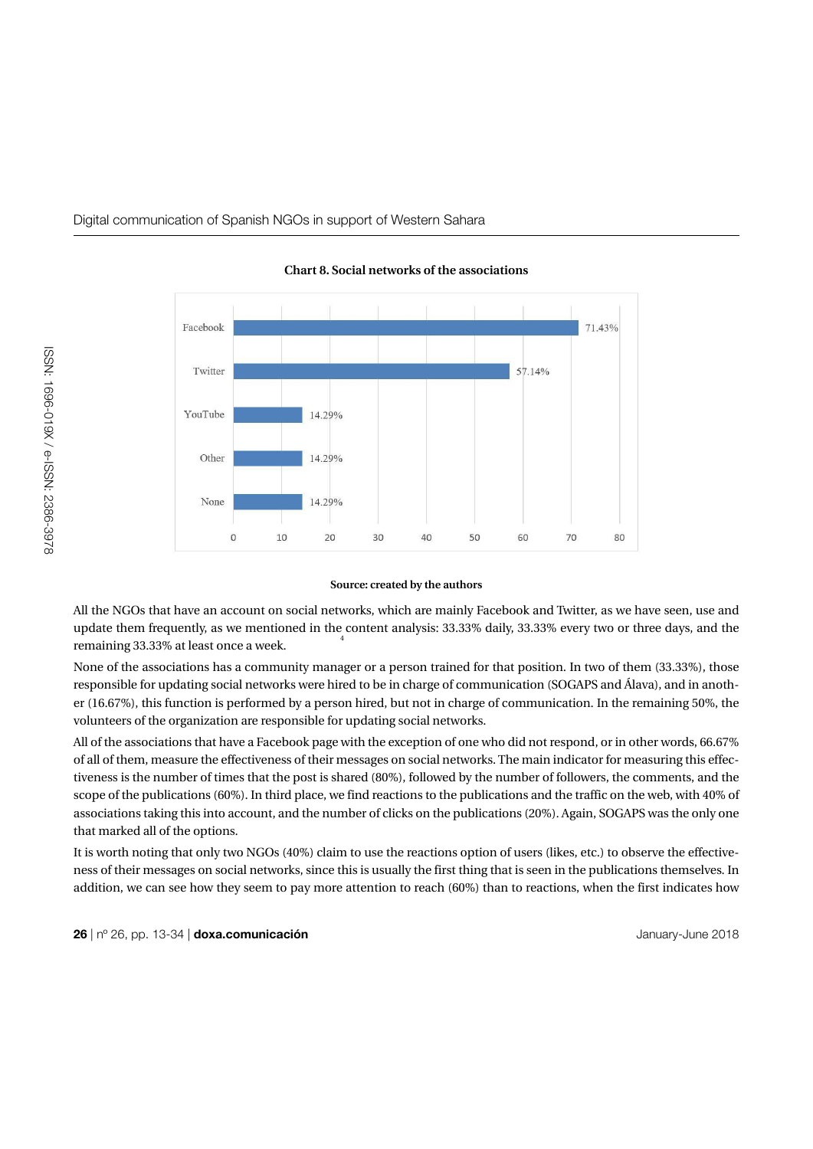

**Chart 8. Social networks of the associations**

#### **Source: created by the authors**

All the NGOs that have an account on social networks, which are mainly Facebook and Twitter, as we have seen, use and update them frequently, as we mentioned in the content analysis: 33.33% daily, 33.33% every two or three days, and the remaining 33.33% at least once a week. 4

None of the associations has a community manager or a person trained for that position. In two of them (33.33%), those responsible for updating social networks were hired to be in charge of communication (SOGAPS and Álava), and in another (16.67%), this function is performed by a person hired, but not in charge of communication. In the remaining 50%, the volunteers of the organization are responsible for updating social networks.

All of the associations that have a Facebook page with the exception of one who did not respond, or in other words, 66.67% of all of them, measure the effectiveness of their messages on social networks. The main indicator for measuring this effectiveness is the number of times that the post is shared (80%), followed by the number of followers, the comments, and the scope of the publications (60%). In third place, we find reactions to the publications and the traffic on the web, with 40% of associations taking this into account, and the number of clicks on the publications (20%). Again, SOGAPS was the only one that marked all of the options.

It is worth noting that only two NGOs (40%) claim to use the reactions option of users (likes, etc.) to observe the effectiveness of their messages on social networks, since this is usually the first thing that is seen in the publications themselves. In addition, we can see how they seem to pay more attention to reach (60%) than to reactions, when the first indicates how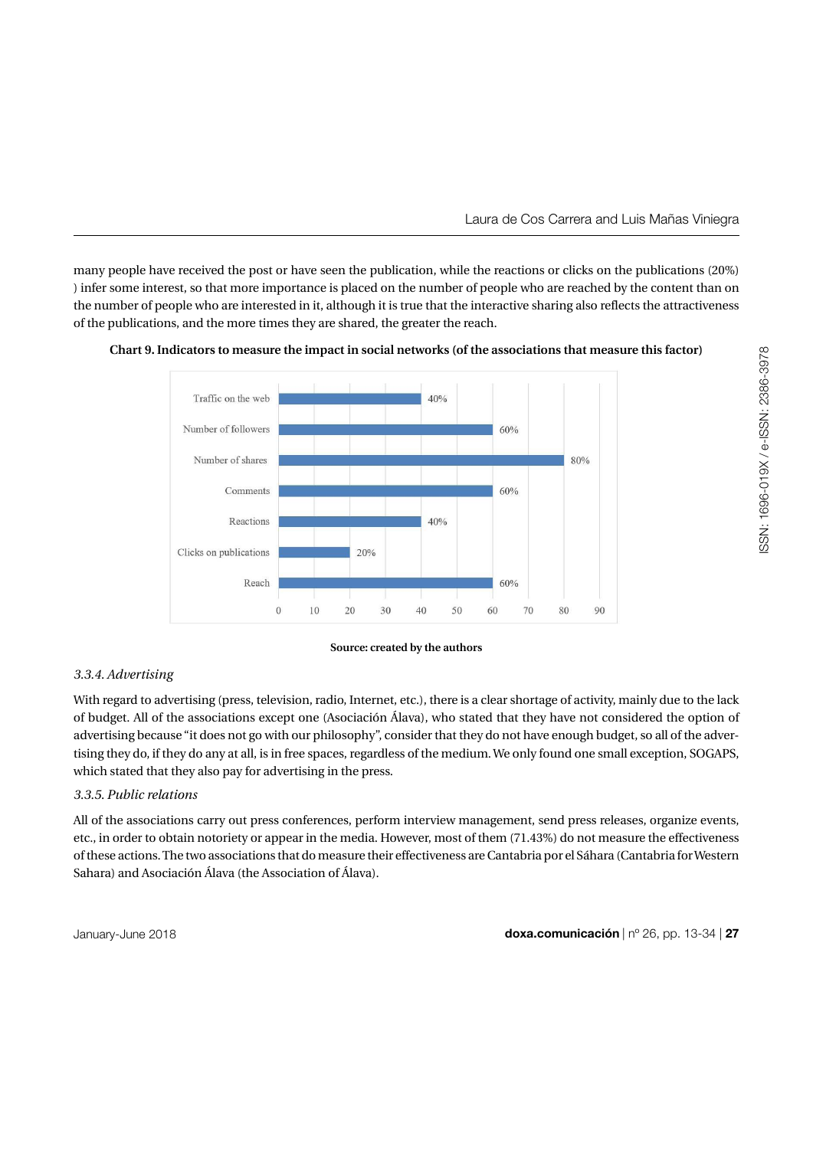many people have received the post or have seen the publication, while the reactions or clicks on the publications (20%) ) infer some interest, so that more importance is placed on the number of people who are reached by the content than on the number of people who are interested in it, although it is true that the interactive sharing also reflects the attractiveness of the publications, and the more times they are shared, the greater the reach.



**Chart 9. Indicators to measure the impact in social networks (of the associations that measure this factor)**

### **Source: created by the authors**

# *3.3.4. Advertising*

With regard to advertising (press, television, radio, Internet, etc.), there is a clear shortage of activity, mainly due to the lack of budget. All of the associations except one (Asociación Álava), who stated that they have not considered the option of advertising because "it does not go with our philosophy", consider that they do not have enough budget, so all of the advertising they do, if they do any at all, is in free spaces, regardless of the medium. We only found one small exception, SOGAPS, which stated that they also pay for advertising in the press.

# *3.3.5. Public relations*

All of the associations carry out press conferences, perform interview management, send press releases, organize events, etc., in order to obtain notoriety or appear in the media. However, most of them (71.43%) do not measure the effectiveness of these actions. The two associations that do measure their effectiveness are Cantabria por el Sáhara (Cantabria for Western Sahara) and Asociación Álava (the Association of Álava).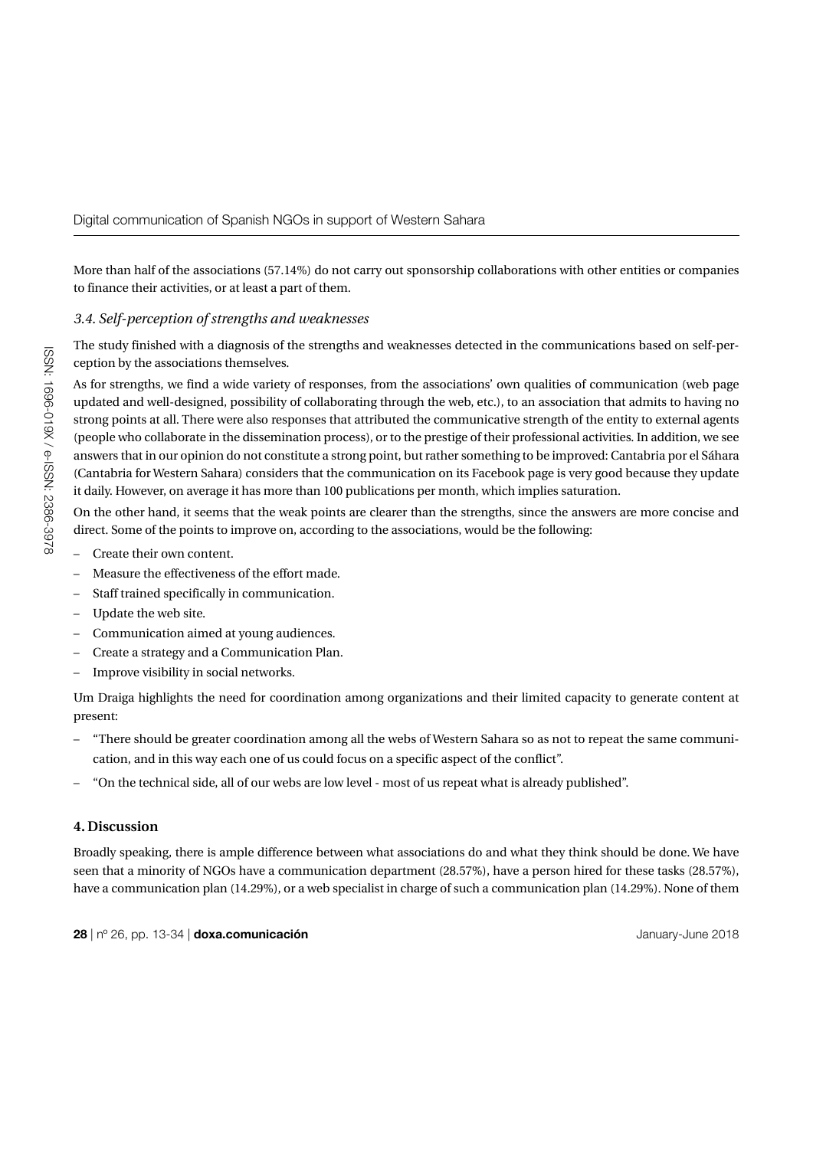More than half of the associations (57.14%) do not carry out sponsorship collaborations with other entities or companies to finance their activities, or at least a part of them.

# *3.4. Self-perception of strengths and weaknesses*

The study finished with a diagnosis of the strengths and weaknesses detected in the communications based on self-perception by the associations themselves.

As for strengths, we find a wide variety of responses, from the associations' own qualities of communication (web page updated and well-designed, possibility of collaborating through the web, etc.), to an association that admits to having no strong points at all. There were also responses that attributed the communicative strength of the entity to external agents (people who collaborate in the dissemination process), or to the prestige of their professional activities. In addition, we see answers that in our opinion do not constitute a strong point, but rather something to be improved: Cantabria por el Sáhara (Cantabria for Western Sahara) considers that the communication on its Facebook page is very good because they update it daily. However, on average it has more than 100 publications per month, which implies saturation.

On the other hand, it seems that the weak points are clearer than the strengths, since the answers are more concise and direct. Some of the points to improve on, according to the associations, would be the following:

- Create their own content.
- Measure the effectiveness of the effort made.
- Staff trained specifically in communication.
- Update the web site.
- Communication aimed at young audiences.
- Create a strategy and a Communication Plan.
- Improve visibility in social networks.

Um Draiga highlights the need for coordination among organizations and their limited capacity to generate content at present:

- "There should be greater coordination among all the webs of Western Sahara so as not to repeat the same communication, and in this way each one of us could focus on a specific aspect of the conflict".
- "On the technical side, all of our webs are low level most of us repeat what is already published".

# **4. Discussion**

Broadly speaking, there is ample difference between what associations do and what they think should be done. We have seen that a minority of NGOs have a communication department (28.57%), have a person hired for these tasks (28.57%), have a communication plan (14.29%), or a web specialist in charge of such a communication plan (14.29%). None of them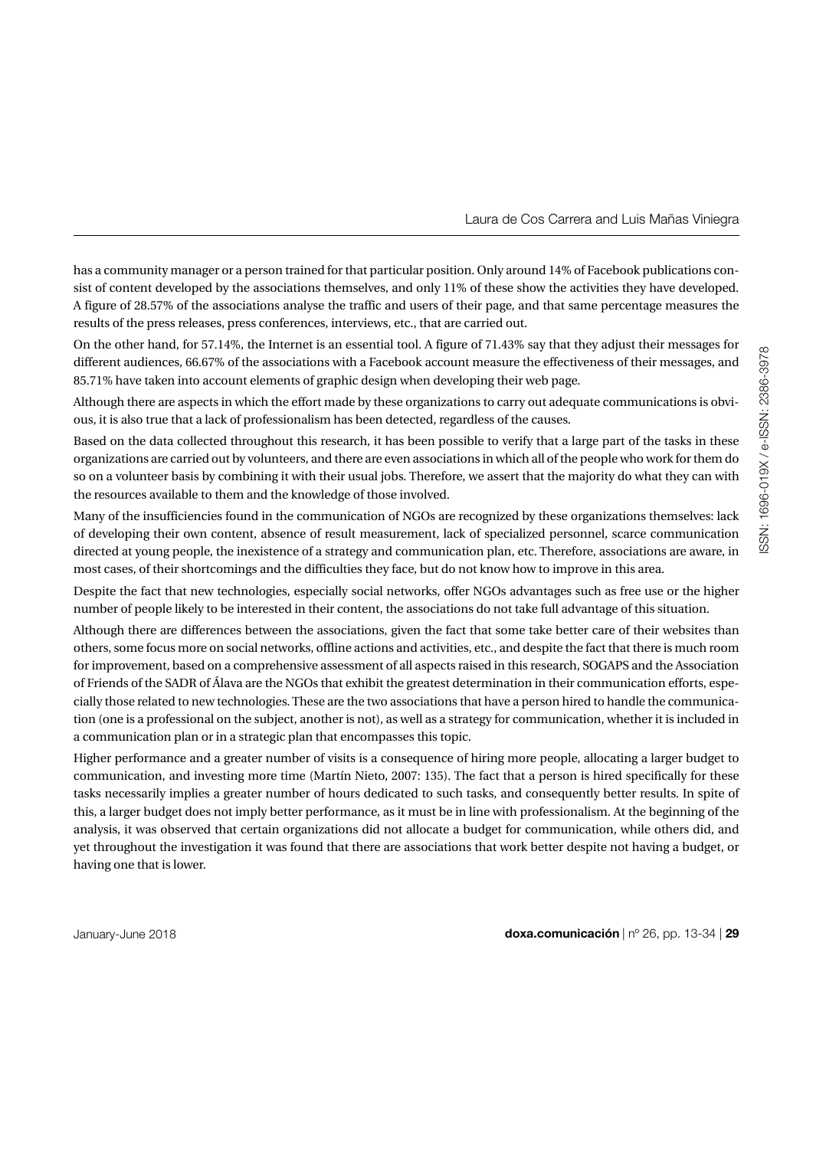Laura de Cos Carrera and Luis Mañas Viniegra

has a community manager or a person trained for that particular position. Only around 14% of Facebook publications consist of content developed by the associations themselves, and only 11% of these show the activities they have developed. A figure of 28.57% of the associations analyse the traffic and users of their page, and that same percentage measures the results of the press releases, press conferences, interviews, etc., that are carried out.

On the other hand, for 57.14%, the Internet is an essential tool. A figure of 71.43% say that they adjust their messages for different audiences, 66.67% of the associations with a Facebook account measure the effectiveness of their messages, and 85.71% have taken into account elements of graphic design when developing their web page.

Although there are aspects in which the effort made by these organizations to carry out adequate communications is obvious, it is also true that a lack of professionalism has been detected, regardless of the causes.

Based on the data collected throughout this research, it has been possible to verify that a large part of the tasks in these organizations are carried out by volunteers, and there are even associations in which all of the people who work for them do so on a volunteer basis by combining it with their usual jobs. Therefore, we assert that the majority do what they can with the resources available to them and the knowledge of those involved.

Many of the insufficiencies found in the communication of NGOs are recognized by these organizations themselves: lack of developing their own content, absence of result measurement, lack of specialized personnel, scarce communication directed at young people, the inexistence of a strategy and communication plan, etc. Therefore, associations are aware, in most cases, of their shortcomings and the difficulties they face, but do not know how to improve in this area.

Despite the fact that new technologies, especially social networks, offer NGOs advantages such as free use or the higher number of people likely to be interested in their content, the associations do not take full advantage of this situation.

Although there are differences between the associations, given the fact that some take better care of their websites than others, some focus more on social networks, offline actions and activities, etc., and despite the fact that there is much room for improvement, based on a comprehensive assessment of all aspects raised in this research, SOGAPS and the Association of Friends of the SADR of Álava are the NGOs that exhibit the greatest determination in their communication efforts, especially those related to new technologies. These are the two associations that have a person hired to handle the communication (one is a professional on the subject, another is not), as well as a strategy for communication, whether it is included in a communication plan or in a strategic plan that encompasses this topic.

Higher performance and a greater number of visits is a consequence of hiring more people, allocating a larger budget to communication, and investing more time (Martín Nieto, 2007: 135). The fact that a person is hired specifically for these tasks necessarily implies a greater number of hours dedicated to such tasks, and consequently better results. In spite of this, a larger budget does not imply better performance, as it must be in line with professionalism. At the beginning of the analysis, it was observed that certain organizations did not allocate a budget for communication, while others did, and yet throughout the investigation it was found that there are associations that work better despite not having a budget, or having one that is lower.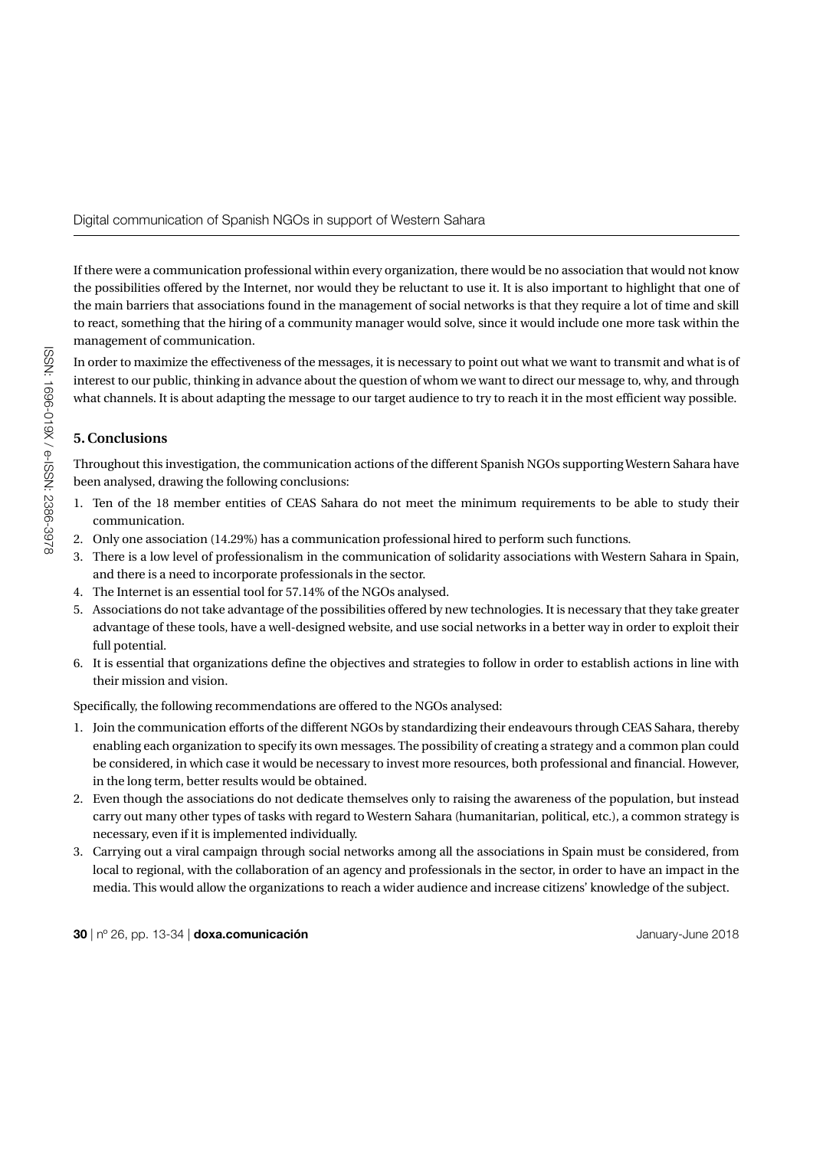Digital communication of Spanish NGOs in support of Western Sahara

If there were a communication professional within every organization, there would be no association that would not know the possibilities offered by the Internet, nor would they be reluctant to use it. It is also important to highlight that one of the main barriers that associations found in the management of social networks is that they require a lot of time and skill to react, something that the hiring of a community manager would solve, since it would include one more task within the management of communication.

In order to maximize the effectiveness of the messages, it is necessary to point out what we want to transmit and what is of interest to our public, thinking in advance about the question of whom we want to direct our message to, why, and through what channels. It is about adapting the message to our target audience to try to reach it in the most efficient way possible.

# **5. Conclusions**

Throughout this investigation, the communication actions of the different Spanish NGOs supporting Western Sahara have been analysed, drawing the following conclusions:

- 1. Ten of the 18 member entities of CEAS Sahara do not meet the minimum requirements to be able to study their communication.
- 2. Only one association (14.29%) has a communication professional hired to perform such functions.
- 3. There is a low level of professionalism in the communication of solidarity associations with Western Sahara in Spain, and there is a need to incorporate professionals in the sector.
- 4. The Internet is an essential tool for 57.14% of the NGOs analysed.
- 5. Associations do not take advantage of the possibilities offered by new technologies. It is necessary that they take greater advantage of these tools, have a well-designed website, and use social networks in a better way in order to exploit their full potential.
- 6. It is essential that organizations define the objectives and strategies to follow in order to establish actions in line with their mission and vision.

Specifically, the following recommendations are offered to the NGOs analysed:

- 1. Join the communication efforts of the different NGOs by standardizing their endeavours through CEAS Sahara, thereby enabling each organization to specify its own messages. The possibility of creating a strategy and a common plan could be considered, in which case it would be necessary to invest more resources, both professional and financial. However, in the long term, better results would be obtained.
- 2. Even though the associations do not dedicate themselves only to raising the awareness of the population, but instead carry out many other types of tasks with regard to Western Sahara (humanitarian, political, etc.), a common strategy is necessary, even if it is implemented individually.
- 3. Carrying out a viral campaign through social networks among all the associations in Spain must be considered, from local to regional, with the collaboration of an agency and professionals in the sector, in order to have an impact in the media. This would allow the organizations to reach a wider audience and increase citizens' knowledge of the subject.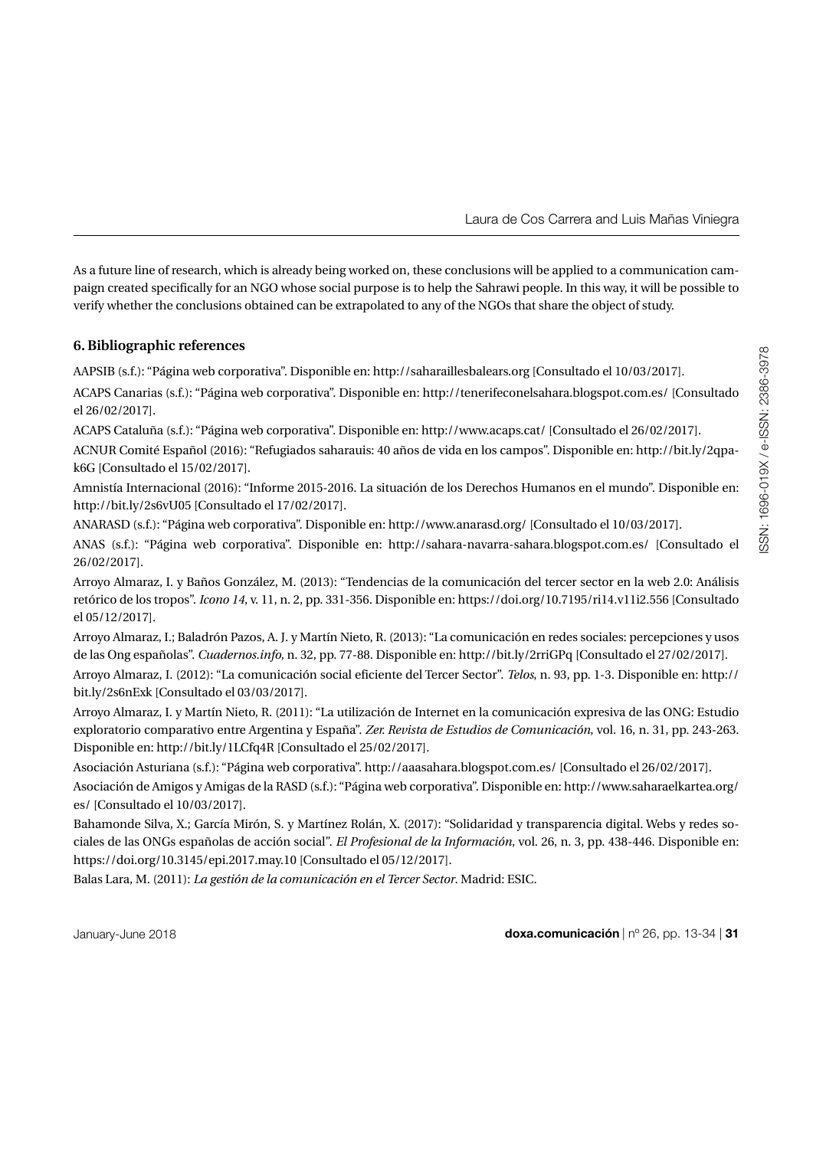As a future line of research, which is already being worked on, these conclusions will be applied to a communication campaign created specifically for an NGO whose social purpose is to help the Sahrawi people. In this way, it will be possible to verify whether the conclusions obtained can be extrapolated to any of the NGOs that share the object of study.

# **6. Bibliographic references**

AAPSIB (s.f.): "Página web corporativa". Disponible en: http://saharaillesbalears.org [Consultado el 10/03/2017].

ACAPS Canarias (s.f.): "Página web corporativa". Disponible en: http://tenerifeconelsahara.blogspot.com.es/ [Consultado el 26/02/2017].

ACAPS Cataluña (s.f.): "Página web corporativa". Disponible en: http://www.acaps.cat/ [Consultado el 26/02/2017].

ACNUR Comité Español (2016): "Refugiados saharauis: 40 años de vida en los campos". Disponible en: http://bit.ly/2qpak6G [Consultado el 15/02/2017].

Amnistía Internacional (2016): "Informe 2015-2016. La situación de los Derechos Humanos en el mundo". Disponible en: http://bit.ly/2s6vU05 [Consultado el 17/02/2017].

ANARASD (s.f.): "Página web corporativa". Disponible en: http://www.anarasd.org/ [Consultado el 10/03/2017].

ANAS (s.f.): "Página web corporativa". Disponible en: http://sahara-navarra-sahara.blogspot.com.es/ [Consultado el 26/02/2017].

Arroyo Almaraz, I. y Baños González, M. (2013): "Tendencias de la comunicación del tercer sector en la web 2.0: Análisis retórico de los tropos". *Icono 14*, v. 11, n. 2, pp. 331-356. Disponible en: https://doi.org/10.7195/ri14.v11i2.556 [Consultado el 05/12/2017].

Arroyo Almaraz, I.; Baladrón Pazos, A. J. y Martín Nieto, R. (2013): "La comunicación en redes sociales: percepciones y usos de las Ong españolas". *Cuadernos.info*, n. 32, pp. 77-88. Disponible en: http://bit.ly/2rriGPq [Consultado el 27/02/2017].

Arroyo Almaraz, I. (2012): "La comunicación social eficiente del Tercer Sector". *Telos*, n. 93, pp. 1-3. Disponible en: http:// bit.ly/2s6nExk [Consultado el 03/03/2017].

Arroyo Almaraz, I. y Martín Nieto, R. (2011): "La utilización de Internet en la comunicación expresiva de las ONG: Estudio exploratorio comparativo entre Argentina y España". *Zer. Revista de Estudios de Comunicación*, vol. 16, n. 31, pp. 243-263. Disponible en: http://bit.ly/1LCfq4R [Consultado el 25/02/2017].

Asociación Asturiana (s.f.): "Página web corporativa". http://aaasahara.blogspot.com.es/ [Consultado el 26/02/2017].

Asociación de Amigos y Amigas de la RASD (s.f.): "Página web corporativa". Disponible en: http://www.saharaelkartea.org/ es/ [Consultado el 10/03/2017].

Bahamonde Silva, X.; García Mirón, S. y Martínez Rolán, X. (2017): "Solidaridad y transparencia digital. Webs y redes sociales de las ONGs españolas de acción social". *El Profesional de la Información*, vol. 26, n. 3, pp. 438-446. Disponible en: https://doi.org/10.3145/epi.2017.may.10 [Consultado el 05/12/2017].

Balas Lara, M. (2011): *La gestión de la comunicación en el Tercer Sector*. Madrid: ESIC.

January-June 2018 **doxa.comunicación** | nº 26, pp. 13-34 | **31**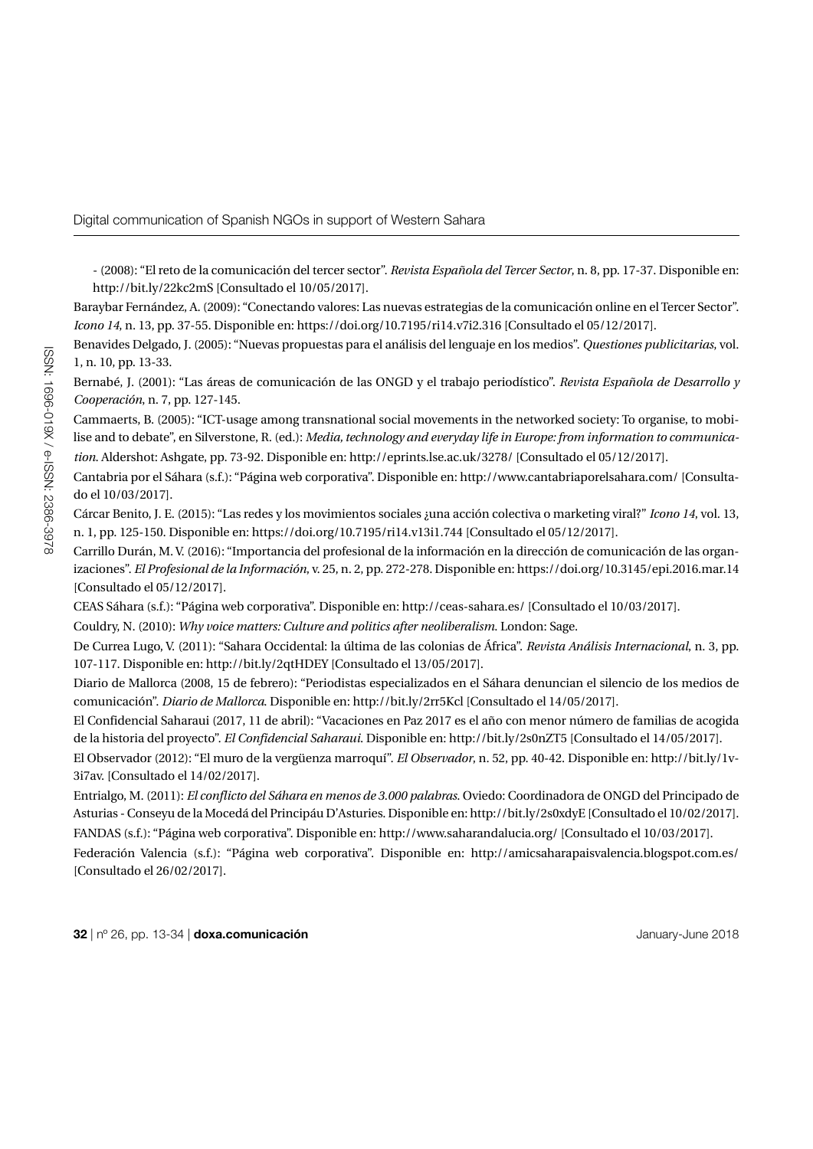- (2008): "El reto de la comunicación del tercer sector". *Revista Española del Tercer Sector*, n. 8, pp. 17-37. Disponible en: http://bit.ly/22kc2mS [Consultado el 10/05/2017].

Baraybar Fernández, A. (2009): "Conectando valores: Las nuevas estrategias de la comunicación online en el Tercer Sector". *Icono 14*, n. 13, pp. 37-55. Disponible en: https://doi.org/10.7195/ri14.v7i2.316 [Consultado el 05/12/2017].

Benavides Delgado, J. (2005): "Nuevas propuestas para el análisis del lenguaje en los medios". *Questiones publicitarias*, vol. 1, n. 10, pp. 13-33.

Bernabé, J. (2001): "Las áreas de comunicación de las ONGD y el trabajo periodístico". *Revista Española de Desarrollo y Cooperación*, n. 7, pp. 127-145.

Cammaerts, B. (2005): "ICT-usage among transnational social movements in the networked society: To organise, to mobilise and to debate", en Silverstone, R. (ed.): *Media, technology and everyday life in Europe: from information to communication*. Aldershot: Ashgate, pp. 73-92. Disponible en: http://eprints.lse.ac.uk/3278/ [Consultado el 05/12/2017].

Cantabria por el Sáhara (s.f.): "Página web corporativa". Disponible en: http://www.cantabriaporelsahara.com/ [Consultado el 10/03/2017].

Cárcar Benito, J. E. (2015): "Las redes y los movimientos sociales ¿una acción colectiva o marketing viral?" *Icono 14*, vol. 13, n. 1, pp. 125-150. Disponible en: https://doi.org/10.7195/ri14.v13i1.744 [Consultado el 05/12/2017].

Carrillo Durán, M. V. (2016): "Importancia del profesional de la información en la dirección de comunicación de las organizaciones". *El Profesional de la Información*, v. 25, n. 2, pp. 272-278. Disponible en: https://doi.org/10.3145/epi.2016.mar.14 [Consultado el 05/12/2017].

CEAS Sáhara (s.f.): "Página web corporativa". Disponible en: http://ceas-sahara.es/ [Consultado el 10/03/2017].

Couldry, N. (2010): *Why voice matters: Culture and politics after neoliberalism*. London: Sage.

De Currea Lugo, V. (2011): "Sahara Occidental: la última de las colonias de África". *Revista Análisis Internacional*, n. 3, pp. 107-117. Disponible en: http://bit.ly/2qtHDEY [Consultado el 13/05/2017].

Diario de Mallorca (2008, 15 de febrero): "Periodistas especializados en el Sáhara denuncian el silencio de los medios de comunicación". *Diario de Mallorca*. Disponible en: http://bit.ly/2rr5Kcl [Consultado el 14/05/2017].

El Confidencial Saharaui (2017, 11 de abril): "Vacaciones en Paz 2017 es el año con menor número de familias de acogida de la historia del proyecto". *El Confidencial Saharaui*. Disponible en: http://bit.ly/2s0nZT5 [Consultado el 14/05/2017].

El Observador (2012): "El muro de la vergüenza marroquí". *El Observador*, n. 52, pp. 40-42. Disponible en: http://bit.ly/1v-3i7av. [Consultado el 14/02/2017].

Entrialgo, M. (2011): *El conflicto del Sáhara en menos de 3.000 palabras*. Oviedo: Coordinadora de ONGD del Principado de Asturias - Conseyu de la Mocedá del Principáu D'Asturies. Disponible en: http://bit.ly/2s0xdyE [Consultado el 10/02/2017].

FANDAS (s.f.): "Página web corporativa". Disponible en: http://www.saharandalucia.org/ [Consultado el 10/03/2017]. Federación Valencia (s.f.): "Página web corporativa". Disponible en: http://amicsaharapaisvalencia.blogspot.com.es/ [Consultado el 26/02/2017].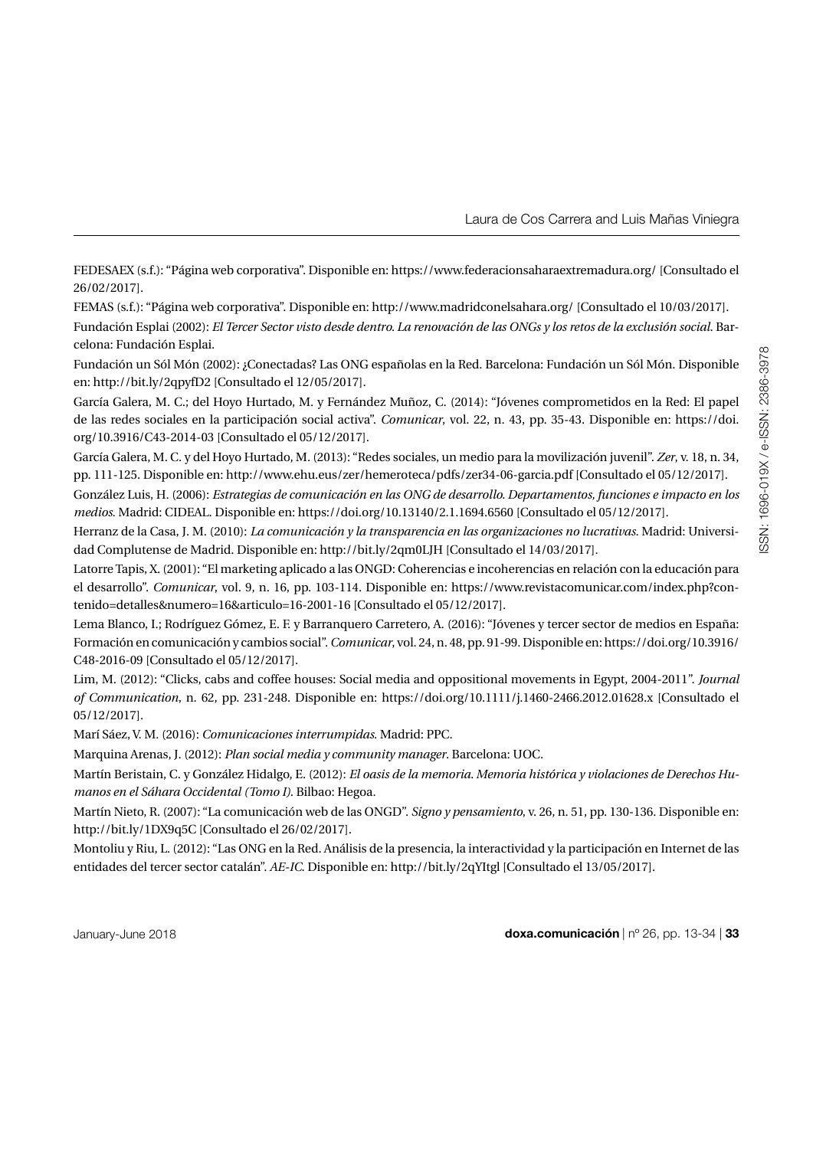FEDESAEX (s.f.): "Página web corporativa". Disponible en: https://www.federacionsaharaextremadura.org/ [Consultado el 26/02/2017].

FEMAS (s.f.): "Página web corporativa". Disponible en: http://www.madridconelsahara.org/ [Consultado el 10/03/2017]. Fundación Esplai (2002): *El Tercer Sector visto desde dentro. La renovación de las ONGs y los retos de la exclusión social*. Barcelona: Fundación Esplai.

Fundación un Sól Món (2002): ¿Conectadas? Las ONG españolas en la Red. Barcelona: Fundación un Sól Món. Disponible en: http://bit.ly/2qpyfD2 [Consultado el 12/05/2017].

García Galera, M. C.; del Hoyo Hurtado, M. y Fernández Muñoz, C. (2014): "Jóvenes comprometidos en la Red: El papel de las redes sociales en la participación social activa". *Comunicar*, vol. 22, n. 43, pp. 35-43. Disponible en: https://doi. org/10.3916/C43-2014-03 [Consultado el 05/12/2017].

García Galera, M. C. y del Hoyo Hurtado, M. (2013): "Redes sociales, un medio para la movilización juvenil". *Zer*, v. 18, n. 34, pp. 111-125. Disponible en: http://www.ehu.eus/zer/hemeroteca/pdfs/zer34-06-garcia.pdf [Consultado el 05/12/2017].

González Luis, H. (2006): *Estrategias de comunicación en las ONG de desarrollo. Departamentos, funciones e impacto en los medios*. Madrid: CIDEAL. Disponible en: https://doi.org/10.13140/2.1.1694.6560 [Consultado el 05/12/2017].

Herranz de la Casa, J. M. (2010): *La comunicación y la transparencia en las organizaciones no lucrativas*. Madrid: Universidad Complutense de Madrid. Disponible en: http://bit.ly/2qm0LJH [Consultado el 14/03/2017].

Latorre Tapis, X. (2001): "El marketing aplicado a las ONGD: Coherencias e incoherencias en relación con la educación para el desarrollo". *Comunicar*, vol. 9, n. 16, pp. 103-114. Disponible en: https://www.revistacomunicar.com/index.php?contenido=detalles&numero=16&articulo=16-2001-16 [Consultado el 05/12/2017].

Lema Blanco, I.; Rodríguez Gómez, E. F. y Barranquero Carretero, A. (2016): "Jóvenes y tercer sector de medios en España: Formación en comunicación y cambios social". *Comunicar*, vol. 24, n. 48, pp. 91-99. Disponible en: https://doi.org/10.3916/ C48-2016-09 [Consultado el 05/12/2017].

Lim, M. (2012): "Clicks, cabs and coffee houses: Social media and oppositional movements in Egypt, 2004-2011". *Journal of Communication*, n. 62, pp. 231-248. Disponible en: https://doi.org/10.1111/j.1460-2466.2012.01628.x [Consultado el 05/12/2017].

Marí Sáez, V. M. (2016): *Comunicaciones interrumpidas*. Madrid: PPC.

Marquina Arenas, J. (2012): *Plan social media y community manager*. Barcelona: UOC.

Martín Beristain, C. y González Hidalgo, E. (2012): *El oasis de la memoria. Memoria histórica y violaciones de Derechos Humanos en el Sáhara Occidental (Tomo I)*. Bilbao: Hegoa.

Martín Nieto, R. (2007): "La comunicación web de las ONGD". *Signo y pensamiento*, v. 26, n. 51, pp. 130-136. Disponible en: http://bit.ly/1DX9q5C [Consultado el 26/02/2017].

Montoliu y Riu, L. (2012): "Las ONG en la Red. Análisis de la presencia, la interactividad y la participación en Internet de las entidades del tercer sector catalán". *AE-IC*. Disponible en: http://bit.ly/2qYItgl [Consultado el 13/05/2017].